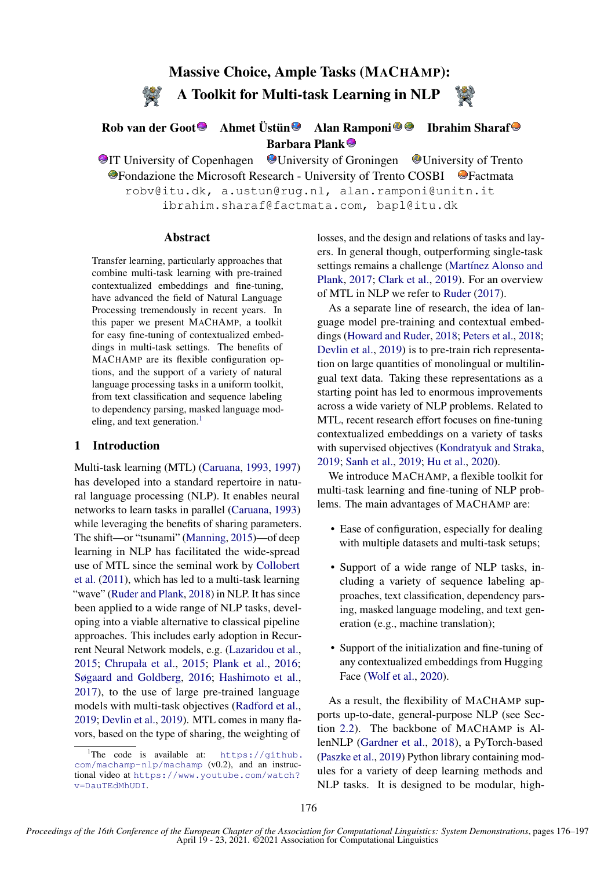# Massive Choice, Ample Tasks (MACHAMP): A Toolkit for Multi-task Learning in NLP

## Rob van der Goot<sup>®</sup> Ahmet Üstün<sup>®</sup> Alan Ramponi<sup>®</sup> <sup>D</sup> Ibrahim Sharaf Barbara Plank

**IT University of Copenhagen** University of Groningen University of Trento  $\bullet$  Fondazione the Microsoft Research - University of Trento COSBI  $\bullet$  Factmata robv@itu.dk, a.ustun@rug.nl, alan.ramponi@unitn.it ibrahim.sharaf@factmata.com, bapl@itu.dk

#### Abstract

Transfer learning, particularly approaches that combine multi-task learning with pre-trained contextualized embeddings and fine-tuning, have advanced the field of Natural Language Processing tremendously in recent years. In this paper we present MACHAMP, a toolkit for easy fine-tuning of contextualized embeddings in multi-task settings. The benefits of MACHAMP are its flexible configuration options, and the support of a variety of natural language processing tasks in a uniform toolkit, from text classification and sequence labeling to dependency parsing, masked language mod-eling, and text generation.<sup>[1](#page-0-0)</sup>

#### 1 Introduction

Multi-task learning (MTL) [\(Caruana,](#page-7-0) [1993,](#page-7-0) [1997\)](#page-7-1) has developed into a standard repertoire in natural language processing (NLP). It enables neural networks to learn tasks in parallel [\(Caruana,](#page-7-0) [1993\)](#page-7-0) while leveraging the benefits of sharing parameters. The shift—or "tsunami" [\(Manning,](#page-11-0) [2015\)](#page-11-0)—of deep learning in NLP has facilitated the wide-spread use of MTL since the seminal work by [Collobert](#page-8-0) [et al.](#page-8-0) [\(2011\)](#page-8-0), which has led to a multi-task learning "wave" [\(Ruder and Plank,](#page-13-0) [2018\)](#page-13-0) in NLP. It has since been applied to a wide range of NLP tasks, developing into a viable alternative to classical pipeline approaches. This includes early adoption in Recurrent Neural Network models, e.g. [\(Lazaridou et al.,](#page-10-0) [2015;](#page-10-0) [Chrupała et al.,](#page-8-1) [2015;](#page-8-1) [Plank et al.,](#page-12-0) [2016;](#page-12-0) [Søgaard and Goldberg,](#page-14-0) [2016;](#page-14-0) [Hashimoto et al.,](#page-10-1) [2017\)](#page-10-1), to the use of large pre-trained language models with multi-task objectives [\(Radford et al.,](#page-13-1) [2019;](#page-13-1) [Devlin et al.,](#page-8-2) [2019\)](#page-8-2). MTL comes in many flavors, based on the type of sharing, the weighting of

losses, and the design and relations of tasks and layers. In general though, outperforming single-task settings remains a challenge (Martínez Alonso and [Plank,](#page-11-1) [2017;](#page-11-1) [Clark et al.,](#page-8-3) [2019\)](#page-8-3). For an overview of MTL in NLP we refer to [Ruder](#page-13-2) [\(2017\)](#page-13-2).

As a separate line of research, the idea of language model pre-training and contextual embeddings [\(Howard and Ruder,](#page-10-2) [2018;](#page-10-2) [Peters et al.,](#page-12-1) [2018;](#page-12-1) [Devlin et al.,](#page-8-2) [2019\)](#page-8-2) is to pre-train rich representation on large quantities of monolingual or multilingual text data. Taking these representations as a starting point has led to enormous improvements across a wide variety of NLP problems. Related to MTL, recent research effort focuses on fine-tuning contextualized embeddings on a variety of tasks with supervised objectives [\(Kondratyuk and Straka,](#page-10-3) [2019;](#page-10-3) [Sanh et al.,](#page-14-1) [2019;](#page-14-1) [Hu et al.,](#page-10-4) [2020\)](#page-10-4).

We introduce MACHAMP, a flexible toolkit for multi-task learning and fine-tuning of NLP problems. The main advantages of MACHAMP are:

- Ease of configuration, especially for dealing with multiple datasets and multi-task setups;
- Support of a wide range of NLP tasks, including a variety of sequence labeling approaches, text classification, dependency parsing, masked language modeling, and text generation (e.g., machine translation);
- Support of the initialization and fine-tuning of any contextualized embeddings from Hugging Face [\(Wolf et al.,](#page-15-0) [2020\)](#page-15-0).

As a result, the flexibility of MACHAMP supports up-to-date, general-purpose NLP (see Section [2.2\)](#page-1-0). The backbone of MACHAMP is AllenNLP [\(Gardner et al.,](#page-9-0) [2018\)](#page-9-0), a PyTorch-based [\(Paszke et al.,](#page-12-2) [2019\)](#page-12-2) Python library containing modules for a variety of deep learning methods and NLP tasks. It is designed to be modular, high-

<span id="page-0-0"></span><sup>&</sup>lt;sup>1</sup>The code is available at:  $https://github.$ [com/machamp-nlp/machamp](https://github.com/machamp-nlp/machamp) (v0.2), and an instructional video at [https://www.youtube.com/watch?](https://www.youtube.com/watch?v=DauTEdMhUDI) [v=DauTEdMhUDI](https://www.youtube.com/watch?v=DauTEdMhUDI).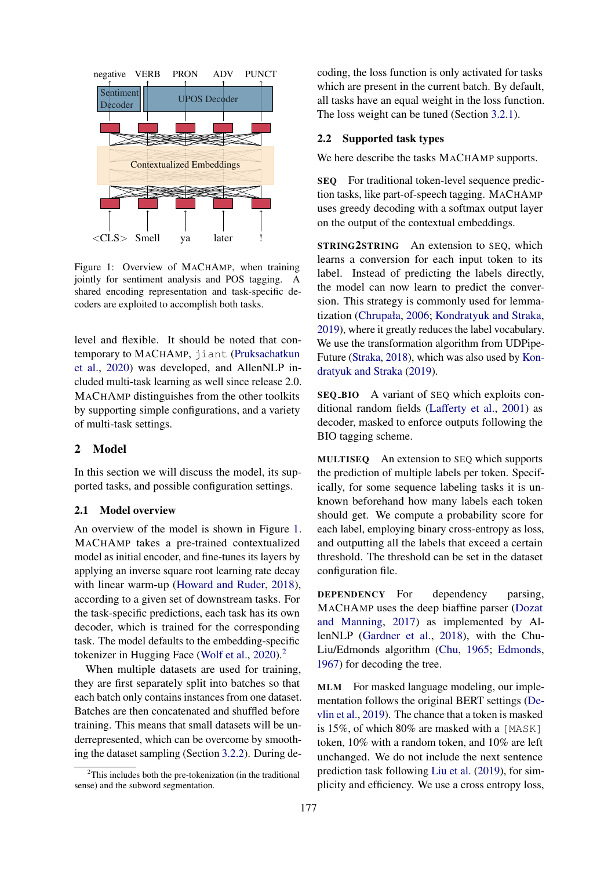<span id="page-1-1"></span>

Figure 1: Overview of MACHAMP, when training jointly for sentiment analysis and POS tagging. A shared encoding representation and task-specific decoders are exploited to accomplish both tasks.

level and flexible. It should be noted that contemporary to MACHAMP, jiant [\(Pruksachatkun](#page-12-3) [et al.,](#page-12-3) [2020\)](#page-12-3) was developed, and AllenNLP included multi-task learning as well since release 2.0. MACHAMP distinguishes from the other toolkits by supporting simple configurations, and a variety of multi-task settings.

#### 2 Model

In this section we will discuss the model, its supported tasks, and possible configuration settings.

#### 2.1 Model overview

An overview of the model is shown in Figure [1.](#page-1-1) MACHAMP takes a pre-trained contextualized model as initial encoder, and fine-tunes its layers by applying an inverse square root learning rate decay with linear warm-up [\(Howard and Ruder,](#page-10-2) [2018\)](#page-10-2), according to a given set of downstream tasks. For the task-specific predictions, each task has its own decoder, which is trained for the corresponding task. The model defaults to the embedding-specific tokenizer in Hugging Face [\(Wolf et al.,](#page-15-0) [2020\)](#page-15-0).<sup>[2](#page-1-2)</sup>

When multiple datasets are used for training, they are first separately split into batches so that each batch only contains instances from one dataset. Batches are then concatenated and shuffled before training. This means that small datasets will be underrepresented, which can be overcome by smoothing the dataset sampling (Section [3.2.2\)](#page-3-0). During de-

coding, the loss function is only activated for tasks which are present in the current batch. By default, all tasks have an equal weight in the loss function. The loss weight can be tuned (Section [3.2.1\)](#page-2-0).

#### <span id="page-1-0"></span>2.2 Supported task types

We here describe the tasks MACHAMP supports.

SEQ For traditional token-level sequence prediction tasks, like part-of-speech tagging. MACHAMP uses greedy decoding with a softmax output layer on the output of the contextual embeddings.

STRING2STRING An extension to SEQ, which learns a conversion for each input token to its label. Instead of predicting the labels directly, the model can now learn to predict the conversion. This strategy is commonly used for lemmatization [\(Chrupała,](#page-8-4) [2006;](#page-8-4) [Kondratyuk and Straka,](#page-10-3) [2019\)](#page-10-3), where it greatly reduces the label vocabulary. We use the transformation algorithm from UDPipe-Future [\(Straka,](#page-14-2) [2018\)](#page-14-2), which was also used by [Kon](#page-10-3)[dratyuk and Straka](#page-10-3) [\(2019\)](#page-10-3).

SEQ BIO A variant of SEQ which exploits conditional random fields [\(Lafferty et al.,](#page-10-5) [2001\)](#page-10-5) as decoder, masked to enforce outputs following the BIO tagging scheme.

MULTISEQ An extension to SEQ which supports the prediction of multiple labels per token. Specifically, for some sequence labeling tasks it is unknown beforehand how many labels each token should get. We compute a probability score for each label, employing binary cross-entropy as loss, and outputting all the labels that exceed a certain threshold. The threshold can be set in the dataset configuration file.

DEPENDENCY For dependency parsing, MACHAMP uses the deep biaffine parser [\(Dozat](#page-9-1) [and Manning,](#page-9-1) [2017\)](#page-9-1) as implemented by AllenNLP [\(Gardner et al.,](#page-9-0) [2018\)](#page-9-0), with the Chu-Liu/Edmonds algorithm [\(Chu,](#page-8-5) [1965;](#page-8-5) [Edmonds,](#page-9-2) [1967\)](#page-9-2) for decoding the tree.

MLM For masked language modeling, our implementation follows the original BERT settings [\(De](#page-8-2)[vlin et al.,](#page-8-2) [2019\)](#page-8-2). The chance that a token is masked is 15%, of which 80% are masked with a [MASK] token, 10% with a random token, and 10% are left unchanged. We do not include the next sentence prediction task following [Liu et al.](#page-11-2) [\(2019\)](#page-11-2), for simplicity and efficiency. We use a cross entropy loss,

<span id="page-1-2"></span> $2$ This includes both the pre-tokenization (in the traditional sense) and the subword segmentation.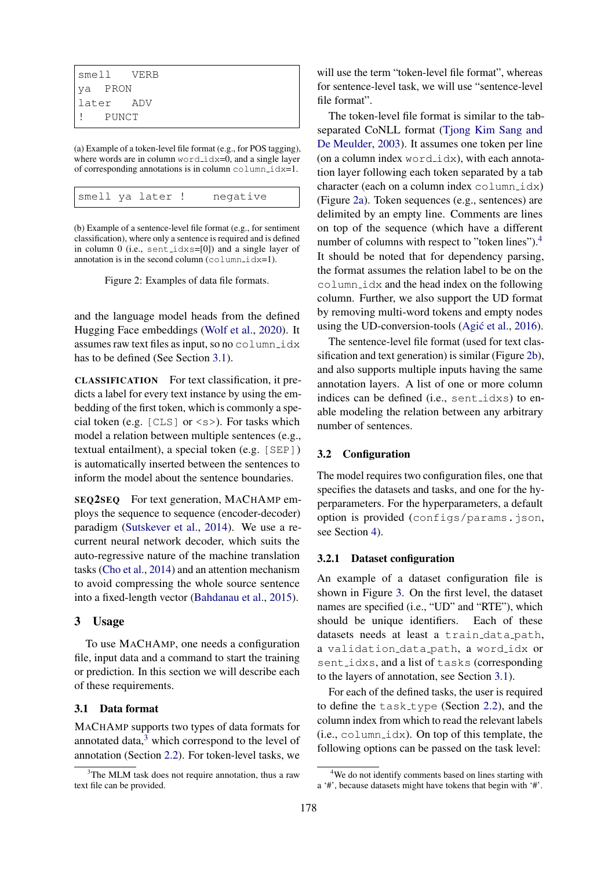<span id="page-2-3"></span>

| smell VERB |  |
|------------|--|
| va PRON    |  |
| llater ADV |  |
| l! PUNCT   |  |

(a) Example of a token-level file format (e.g., for POS tagging), where words are in column  $word\_idx=0$ , and a single layer of corresponding annotations is in column  $\text{column}$  idx=1.

|  | smell ya later ! | negative |
|--|------------------|----------|
|  |                  |          |

(b) Example of a sentence-level file format (e.g., for sentiment classification), where only a sentence is required and is defined in column 0 (i.e., sent idxs=[0]) and a single layer of annotation is in the second column  $(c \circ l \text{umn}_i \, dx=1)$ .

Figure 2: Examples of data file formats.

and the language model heads from the defined Hugging Face embeddings [\(Wolf et al.,](#page-15-0) [2020\)](#page-15-0). It assumes raw text files as input, so no  $\text{column}_i$ has to be defined (See Section [3.1\)](#page-2-1).

CLASSIFICATION For text classification, it predicts a label for every text instance by using the embedding of the first token, which is commonly a special token (e.g.  $[CLS]$  or  $\langle s \rangle$ ). For tasks which model a relation between multiple sentences (e.g., textual entailment), a special token (e.g. [SEP]) is automatically inserted between the sentences to inform the model about the sentence boundaries.

SEQ2SEQ For text generation, MACHAMP employs the sequence to sequence (encoder-decoder) paradigm [\(Sutskever et al.,](#page-14-3) [2014\)](#page-14-3). We use a recurrent neural network decoder, which suits the auto-regressive nature of the machine translation tasks [\(Cho et al.,](#page-8-6) [2014\)](#page-8-6) and an attention mechanism to avoid compressing the whole source sentence into a fixed-length vector [\(Bahdanau et al.,](#page-6-0) [2015\)](#page-6-0).

#### 3 Usage

To use MACHAMP, one needs a configuration file, input data and a command to start the training or prediction. In this section we will describe each of these requirements.

## <span id="page-2-1"></span>3.1 Data format

MACHAMP supports two types of data formats for annotated data, $3 \text{ which correspond to the level of }$  $3 \text{ which correspond to the level of }$ annotation (Section [2.2\)](#page-1-0). For token-level tasks, we will use the term "token-level file format", whereas for sentence-level task, we will use "sentence-level file format".

The token-level file format is similar to the tabseparated CoNLL format [\(Tjong Kim Sang and](#page-15-1) [De Meulder,](#page-15-1) [2003\)](#page-15-1). It assumes one token per line (on a column index  $word\_idx$ ), with each annotation layer following each token separated by a tab character (each on a column index  $\text{column}_i$ dx) (Figure [2a\)](#page-2-3). Token sequences (e.g., sentences) are delimited by an empty line. Comments are lines on top of the sequence (which have a different number of columns with respect to "token lines").<sup>[4](#page-2-4)</sup> It should be noted that for dependency parsing, the format assumes the relation label to be on the column idx and the head index on the following column. Further, we also support the UD format by removing multi-word tokens and empty nodes using the UD-conversion-tools  $(Agi\acute{e}t al., 2016)$  $(Agi\acute{e}t al., 2016)$ .

The sentence-level file format (used for text classification and text generation) is similar (Figure [2b\)](#page-2-3), and also supports multiple inputs having the same annotation layers. A list of one or more column indices can be defined (i.e., sent idxs) to enable modeling the relation between any arbitrary number of sentences.

## 3.2 Configuration

The model requires two configuration files, one that specifies the datasets and tasks, and one for the hyperparameters. For the hyperparameters, a default option is provided (configs/params.json, see Section [4\)](#page-4-0).

#### <span id="page-2-0"></span>3.2.1 Dataset configuration

An example of a dataset configuration file is shown in Figure [3.](#page-3-1) On the first level, the dataset names are specified (i.e., "UD" and "RTE"), which should be unique identifiers. Each of these datasets needs at least a train\_data\_path, a validation\_data\_path, a word\_idx or sent idxs, and a list of tasks (corresponding to the layers of annotation, see Section [3.1\)](#page-2-1).

For each of the defined tasks, the user is required to define the  $task_type)$  (Section [2.2\)](#page-1-0), and the column index from which to read the relevant labels  $(i.e., column_idx)$ . On top of this template, the following options can be passed on the task level:

<span id="page-2-2"></span> $3$ The MLM task does not require annotation, thus a raw text file can be provided.

<span id="page-2-4"></span><sup>&</sup>lt;sup>4</sup>We do not identify comments based on lines starting with a '#', because datasets might have tokens that begin with '#'.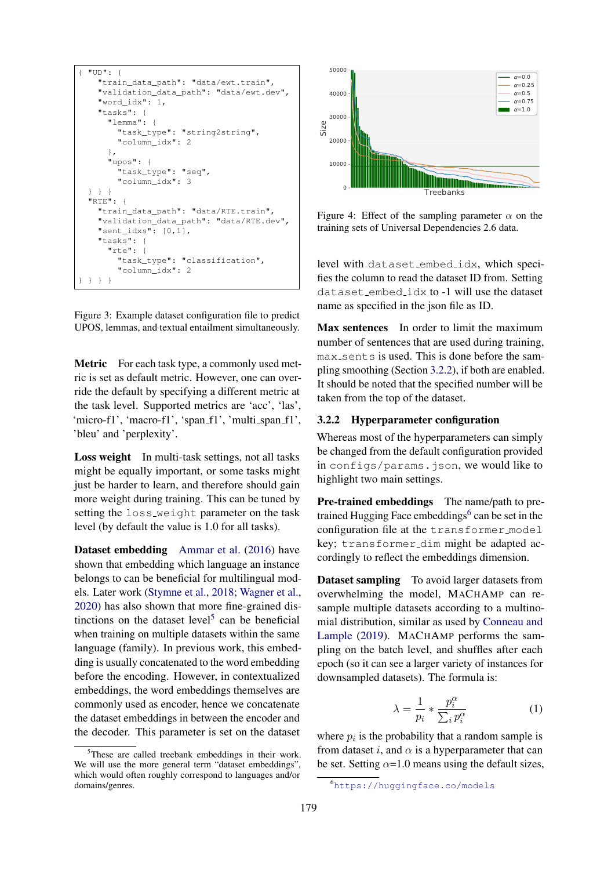<span id="page-3-1"></span>

Figure 3: Example dataset configuration file to predict UPOS, lemmas, and textual entailment simultaneously.

Metric For each task type, a commonly used metric is set as default metric. However, one can override the default by specifying a different metric at the task level. Supported metrics are 'acc', 'las', 'micro-f1', 'macro-f1', 'span\_f1', 'multi\_span\_f1', 'bleu' and 'perplexity'.

Loss weight In multi-task settings, not all tasks might be equally important, or some tasks might just be harder to learn, and therefore should gain more weight during training. This can be tuned by setting the loss weight parameter on the task level (by default the value is 1.0 for all tasks).

Dataset embedding [Ammar et al.](#page-6-2) [\(2016\)](#page-6-2) have shown that embedding which language an instance belongs to can be beneficial for multilingual models. Later work [\(Stymne et al.,](#page-14-4) [2018;](#page-14-4) [Wagner et al.,](#page-15-2) [2020\)](#page-15-2) has also shown that more fine-grained dis-tinctions on the dataset level<sup>[5](#page-3-2)</sup> can be beneficial when training on multiple datasets within the same language (family). In previous work, this embedding is usually concatenated to the word embedding before the encoding. However, in contextualized embeddings, the word embeddings themselves are commonly used as encoder, hence we concatenate the dataset embeddings in between the encoder and the decoder. This parameter is set on the dataset

<span id="page-3-4"></span>

Figure 4: Effect of the sampling parameter  $\alpha$  on the training sets of Universal Dependencies 2.6 data.

level with dataset embed idx, which specifies the column to read the dataset ID from. Setting dataset embed idx to -1 will use the dataset name as specified in the json file as ID.

Max sentences In order to limit the maximum number of sentences that are used during training, max sents is used. This is done before the sampling smoothing (Section [3.2.2\)](#page-3-0), if both are enabled. It should be noted that the specified number will be taken from the top of the dataset.

#### <span id="page-3-0"></span>3.2.2 Hyperparameter configuration

Whereas most of the hyperparameters can simply be changed from the default configuration provided in configs/params. json, we would like to highlight two main settings.

Pre-trained embeddings The name/path to pre-trained Hugging Face embeddings<sup>[6](#page-3-3)</sup> can be set in the configuration file at the transformer\_model key; transformer dim might be adapted accordingly to reflect the embeddings dimension.

Dataset sampling To avoid larger datasets from overwhelming the model, MACHAMP can resample multiple datasets according to a multinomial distribution, similar as used by [Conneau and](#page-8-7) [Lample](#page-8-7) [\(2019\)](#page-8-7). MACHAMP performs the sampling on the batch level, and shuffles after each epoch (so it can see a larger variety of instances for downsampled datasets). The formula is:

$$
\lambda = \frac{1}{p_i} * \frac{p_i^{\alpha}}{\sum_i p_i^{\alpha}} \tag{1}
$$

where  $p_i$  is the probability that a random sample is from dataset i, and  $\alpha$  is a hyperparameter that can be set. Setting  $\alpha$ =1.0 means using the default sizes,

<span id="page-3-2"></span><sup>&</sup>lt;sup>5</sup>These are called treebank embeddings in their work. We will use the more general term "dataset embeddings", which would often roughly correspond to languages and/or domains/genres.

<span id="page-3-3"></span><sup>6</sup><https://huggingface.co/models>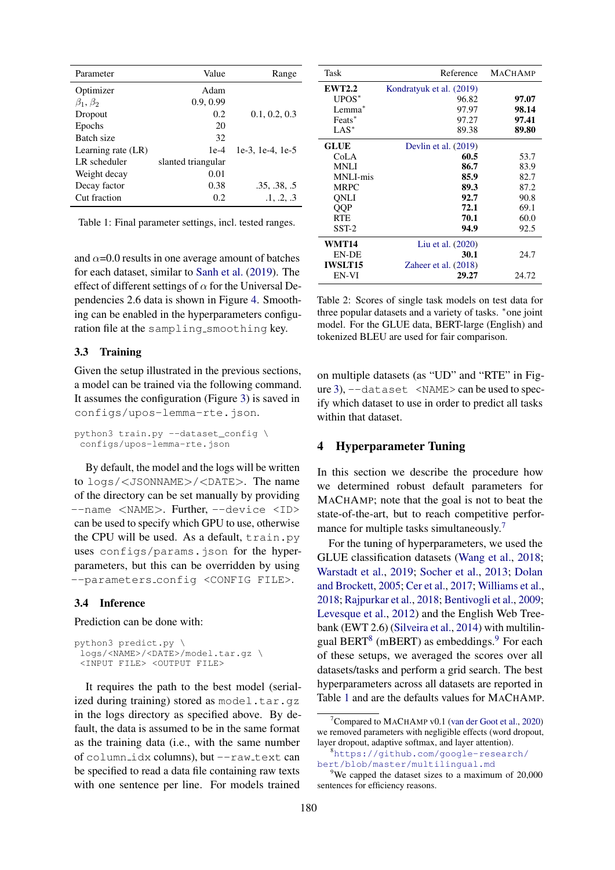<span id="page-4-4"></span>

| Parameter          | Value              | Range            |
|--------------------|--------------------|------------------|
| Optimizer          | Adam               |                  |
| $\beta_1, \beta_2$ | 0.9, 0.99          |                  |
| Dropout            | 0.2                | 0.1, 0.2, 0.3    |
| Epochs             | 20                 |                  |
| Batch size         | 32                 |                  |
| Learning rate (LR) | $1e-4$             | 1e-3, 1e-4, 1e-5 |
| LR scheduler       | slanted triangular |                  |
| Weight decay       | 0.01               |                  |
| Decay factor       | 0.38               | .35, .38, .5     |
| Cut fraction       | 0.2                | .1, .2, .3       |

Table 1: Final parameter settings, incl. tested ranges.

and  $\alpha$ =0.0 results in one average amount of batches for each dataset, similar to [Sanh et al.](#page-14-1) [\(2019\)](#page-14-1). The effect of different settings of  $\alpha$  for the Universal Dependencies 2.6 data is shown in Figure [4.](#page-3-4) Smoothing can be enabled in the hyperparameters configuration file at the sampling smoothing key.

#### 3.3 Training

Given the setup illustrated in the previous sections, a model can be trained via the following command. It assumes the configuration (Figure [3\)](#page-3-1) is saved in configs/upos-lemma-rte.json.

```
python3 train.py --dataset_config \
configs/upos-lemma-rte.json
```
By default, the model and the logs will be written to logs/<JSONNAME>/<DATE>. The name of the directory can be set manually by providing --name <NAME>. Further, --device <ID> can be used to specify which GPU to use, otherwise the CPU will be used. As a default, train.py uses configs/params.json for the hyperparameters, but this can be overridden by using --parameters config <CONFIG FILE>.

#### 3.4 Inference

Prediction can be done with:

```
python3 predict.py \
 logs/<NAME>/<DATE>/model.tar.gz \
 <INPUT FILE> <OUTPUT FILE>
```
It requires the path to the best model (serialized during training) stored as model.tar.qz in the logs directory as specified above. By default, the data is assumed to be in the same format as the training data (i.e., with the same number of column\_idx columns), but --raw\_text can be specified to read a data file containing raw texts with one sentence per line. For models trained

<span id="page-4-5"></span>

| Task           | Reference                | <b>MACHAMP</b> |
|----------------|--------------------------|----------------|
| <b>EWT2.2</b>  | Kondratyuk et al. (2019) |                |
| UPOS*          | 96.82                    | 97.07          |
| $Lemma*$       | 97.97                    | 98.14          |
| Feats*         | 97.27                    | 97.41          |
| $LAS^*$        | 89.38                    | 89.80          |
| <b>GLUE</b>    | Devlin et al. $(2019)$   |                |
| CoLA           | 60.5                     | 53.7           |
| MNLI           | 86.7                     | 83.9           |
| MNLI-mis       | 85.9                     | 82.7           |
| <b>MRPC</b>    | 89.3                     | 87.2           |
| ONLI           | 92.7                     | 90.8           |
| <b>OOP</b>     | 72.1                     | 69.1           |
| <b>RTE</b>     | 70.1                     | 60.0           |
| $SST-2$        | 94.9                     | 92.5           |
| WMT14          | Liu et al. (2020)        |                |
| <b>EN-DE</b>   | 30.1                     | 24.7           |
| <b>IWSLT15</b> | Zaheer et al. $(2018)$   |                |
| EN-VI          | 29.27                    | 24.72          |

Table 2: Scores of single task models on test data for three popular datasets and a variety of tasks. <sup>∗</sup>one joint model. For the GLUE data, BERT-large (English) and tokenized BLEU are used for fair comparison.

on multiple datasets (as "UD" and "RTE" in Figure [3\)](#page-3-1), --dataset <NAME> can be used to specify which dataset to use in order to predict all tasks within that dataset.

## <span id="page-4-0"></span>4 Hyperparameter Tuning

In this section we describe the procedure how we determined robust default parameters for MACHAMP; note that the goal is not to beat the state-of-the-art, but to reach competitive perfor-mance for multiple tasks simultaneously.<sup>[7](#page-4-1)</sup>

For the tuning of hyperparameters, we used the GLUE classification datasets [\(Wang et al.,](#page-15-3) [2018;](#page-15-3) [Warstadt et al.,](#page-15-4) [2019;](#page-15-4) [Socher et al.,](#page-14-5) [2013;](#page-14-5) [Dolan](#page-9-3) [and Brockett,](#page-9-3) [2005;](#page-9-3) [Cer et al.,](#page-8-8) [2017;](#page-8-8) [Williams et al.,](#page-15-5) [2018;](#page-15-5) [Rajpurkar et al.,](#page-13-3) [2018;](#page-13-3) [Bentivogli et al.,](#page-7-2) [2009;](#page-7-2) [Levesque et al.,](#page-11-4) [2012\)](#page-11-4) and the English Web Treebank (EWT 2.6) [\(Silveira et al.,](#page-14-6) [2014\)](#page-14-6) with multilin-gual BERT<sup>[8](#page-4-2)</sup> (mBERT) as embeddings.<sup>[9](#page-4-3)</sup> For each of these setups, we averaged the scores over all datasets/tasks and perform a grid search. The best hyperparameters across all datasets are reported in Table [1](#page-4-4) and are the defaults values for MACHAMP.

<span id="page-4-1"></span>Compared to MACHAMP v0.1 [\(van der Goot et al.,](#page-9-4) [2020\)](#page-9-4) we removed parameters with negligible effects (word dropout, layer dropout, adaptive softmax, and layer attention).

<span id="page-4-2"></span><sup>8</sup>[https://github.com/google-research/](https://github.com/google-research/bert/blob/master/multilingual.md) [bert/blob/master/multilingual.md](https://github.com/google-research/bert/blob/master/multilingual.md)

<span id="page-4-3"></span> $9$ We capped the dataset sizes to a maximum of 20,000 sentences for efficiency reasons.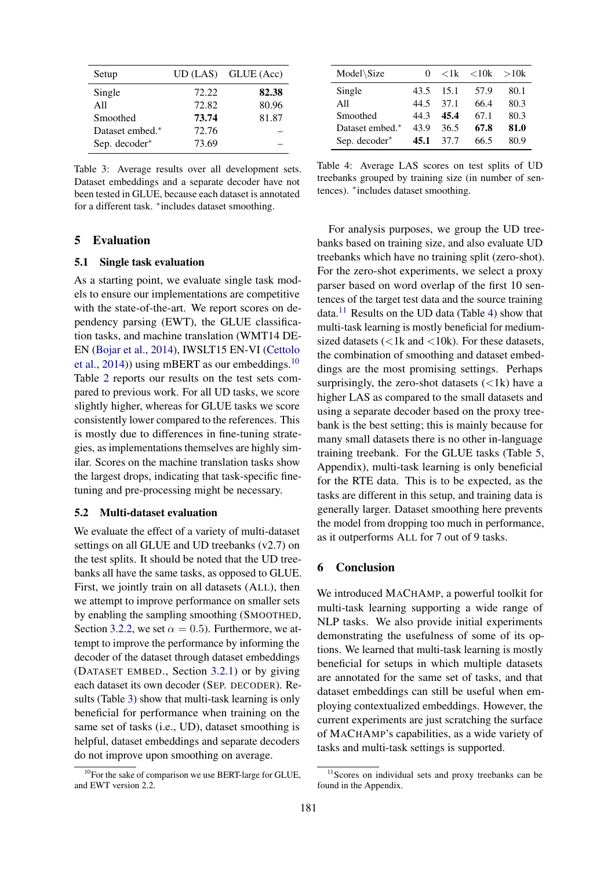<span id="page-5-1"></span>

| Setup           |       | $UD (LAS)$ GLUE $(Acc)$ |
|-----------------|-------|-------------------------|
| Single          | 72.22 | 82.38                   |
| All             | 72.82 | 80.96                   |
| Smoothed        | 73.74 | 81.87                   |
| Dataset embed.* | 72.76 |                         |
| Sep. decoder*   | 73.69 |                         |

Table 3: Average results over all development sets. Dataset embeddings and a separate decoder have not been tested in GLUE, because each dataset is annotated for a different task. <sup>∗</sup> includes dataset smoothing.

#### 5 Evaluation

#### 5.1 Single task evaluation

As a starting point, we evaluate single task models to ensure our implementations are competitive with the state-of-the-art. We report scores on dependency parsing (EWT), the GLUE classification tasks, and machine translation (WMT14 DE-EN [\(Bojar et al.,](#page-7-3) [2014\)](#page-7-3), IWSLT15 EN-VI [\(Cettolo](#page-8-9) [et al.,](#page-8-9) [2014\)](#page-8-9)) using mBERT as our embeddings.<sup>[10](#page-5-0)</sup> Table [2](#page-4-5) reports our results on the test sets compared to previous work. For all UD tasks, we score slightly higher, whereas for GLUE tasks we score consistently lower compared to the references. This is mostly due to differences in fine-tuning strategies, as implementations themselves are highly similar. Scores on the machine translation tasks show the largest drops, indicating that task-specific finetuning and pre-processing might be necessary.

#### 5.2 Multi-dataset evaluation

We evaluate the effect of a variety of multi-dataset settings on all GLUE and UD treebanks (v2.7) on the test splits. It should be noted that the UD treebanks all have the same tasks, as opposed to GLUE. First, we jointly train on all datasets (ALL), then we attempt to improve performance on smaller sets by enabling the sampling smoothing (SMOOTHED, Section [3.2.2,](#page-3-0) we set  $\alpha = 0.5$ ). Furthermore, we attempt to improve the performance by informing the decoder of the dataset through dataset embeddings (DATASET EMBED., Section [3.2.1\)](#page-2-0) or by giving each dataset its own decoder (SEP. DECODER). Results (Table [3\)](#page-5-1) show that multi-task learning is only beneficial for performance when training on the same set of tasks (i.e., UD), dataset smoothing is helpful, dataset embeddings and separate decoders do not improve upon smoothing on average.

<span id="page-5-3"></span>

| Model\Size      | 0    | $\langle 1k \rangle$ | ${<}10k$ | >10k |
|-----------------|------|----------------------|----------|------|
| Single          | 43.5 | 15.1                 | 57.9     | 80.1 |
| A11             | 44.5 | 37.1                 | 66.4     | 80.3 |
| Smoothed        | 44.3 | 45.4                 | 67.1     | 80.3 |
| Dataset embed.* | 43.9 | 36.5                 | 67.8     | 81.0 |
| Sep. decoder*   | 45.1 | 37.7                 | 66.5     | 80.9 |

Table 4: Average LAS scores on test splits of UD treebanks grouped by training size (in number of sentences). <sup>∗</sup> includes dataset smoothing.

For analysis purposes, we group the UD treebanks based on training size, and also evaluate UD treebanks which have no training split (zero-shot). For the zero-shot experiments, we select a proxy parser based on word overlap of the first 10 sentences of the target test data and the source training data.<sup>[11](#page-5-2)</sup> Results on the UD data (Table [4\)](#page-5-3) show that multi-task learning is mostly beneficial for mediumsized datasets ( $\langle 1k \rangle$  and  $\langle 10k \rangle$ ). For these datasets, the combination of smoothing and dataset embeddings are the most promising settings. Perhaps surprisingly, the zero-shot datasets  $(<1k)$  have a higher LAS as compared to the small datasets and using a separate decoder based on the proxy treebank is the best setting; this is mainly because for many small datasets there is no other in-language training treebank. For the GLUE tasks (Table [5,](#page-17-0) Appendix), multi-task learning is only beneficial for the RTE data. This is to be expected, as the tasks are different in this setup, and training data is generally larger. Dataset smoothing here prevents the model from dropping too much in performance, as it outperforms ALL for 7 out of 9 tasks.

#### 6 Conclusion

We introduced MACHAMP, a powerful toolkit for multi-task learning supporting a wide range of NLP tasks. We also provide initial experiments demonstrating the usefulness of some of its options. We learned that multi-task learning is mostly beneficial for setups in which multiple datasets are annotated for the same set of tasks, and that dataset embeddings can still be useful when employing contextualized embeddings. However, the current experiments are just scratching the surface of MACHAMP's capabilities, as a wide variety of tasks and multi-task settings is supported.

<span id="page-5-0"></span> $10$ For the sake of comparison we use BERT-large for GLUE, and EWT version 2.2.

<span id="page-5-2"></span> $11$ Scores on individual sets and proxy treebanks can be found in the Appendix.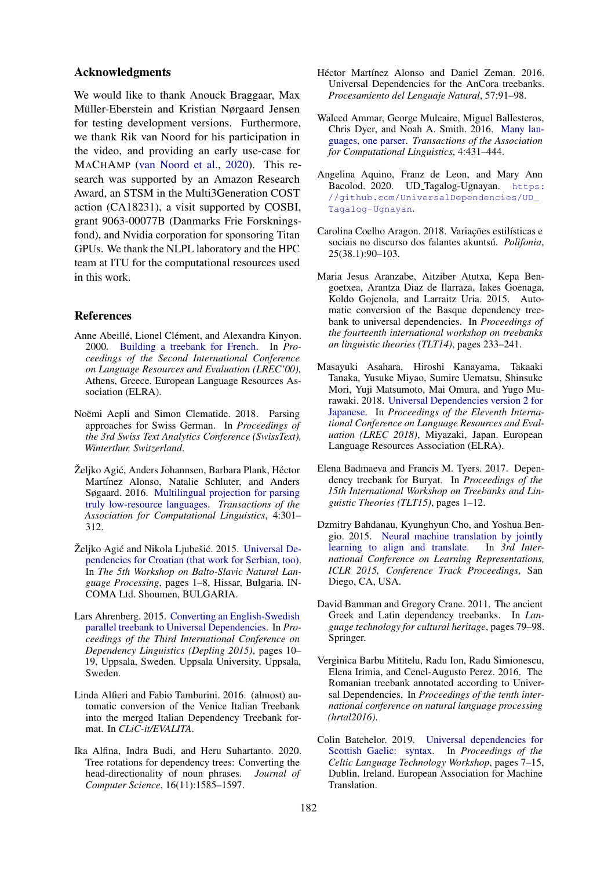#### Acknowledgments

We would like to thank Anouck Braggaar, Max Müller-Eberstein and Kristian Nørgaard Jensen for testing development versions. Furthermore, we thank Rik van Noord for his participation in the video, and providing an early use-case for MACHAMP [\(van Noord et al.,](#page-12-4) [2020\)](#page-12-4). This research was supported by an Amazon Research Award, an STSM in the Multi3Generation COST action (CA18231), a visit supported by COSBI, grant 9063-00077B (Danmarks Frie Forskningsfond), and Nvidia corporation for sponsoring Titan GPUs. We thank the NLPL laboratory and the HPC team at ITU for the computational resources used in this work.

### References

- <span id="page-6-17"></span>Anne Abeillé, Lionel Clément, and Alexandra Kinyon. 2000. [Building a treebank for French.](http://www.lrec-conf.org/proceedings/lrec2000/pdf/230.pdf) In *Proceedings of the Second International Conference on Language Resources and Evaluation (LREC'00)*, Athens, Greece. European Language Resources Association (ELRA).
- <span id="page-6-10"></span>Noëmi Aepli and Simon Clematide. 2018. Parsing approaches for Swiss German. In *Proceedings of the 3rd Swiss Text Analytics Conference (SwissText), Winterthur, Switzerland*.
- <span id="page-6-1"></span>Želiko Agić, Anders Johannsen, Barbara Plank, Héctor Martínez Alonso, Natalie Schluter, and Anders Søgaard. 2016. [Multilingual projection for parsing](https://doi.org/10.1162/tacl_a_00100) [truly low-resource languages.](https://doi.org/10.1162/tacl_a_00100) *Transactions of the Association for Computational Linguistics*, 4:301– 312.
- <span id="page-6-11"></span>Željko Agić and Nikola Ljubešić. 2015. [Universal De](https://www.aclweb.org/anthology/W15-5301)[pendencies for Croatian \(that work for Serbian, too\).](https://www.aclweb.org/anthology/W15-5301) In *The 5th Workshop on Balto-Slavic Natural Language Processing*, pages 1–8, Hissar, Bulgaria. IN-COMA Ltd. Shoumen, BULGARIA.
- <span id="page-6-6"></span>Lars Ahrenberg. 2015. [Converting an English-Swedish](https://www.aclweb.org/anthology/W15-2103) [parallel treebank to Universal Dependencies.](https://www.aclweb.org/anthology/W15-2103) In *Proceedings of the Third International Conference on Dependency Linguistics (Depling 2015)*, pages 10– 19, Uppsala, Sweden. Uppsala University, Uppsala, Sweden.
- <span id="page-6-13"></span>Linda Alfieri and Fabio Tamburini. 2016. (almost) automatic conversion of the Venice Italian Treebank into the merged Italian Dependency Treebank format. In *CLiC-it/EVALITA*.
- <span id="page-6-12"></span>Ika Alfina, Indra Budi, and Heru Suhartanto. 2020. Tree rotations for dependency trees: Converting the head-directionality of noun phrases. *Journal of Computer Science*, 16(11):1585–1597.
- <span id="page-6-5"></span>Héctor Martínez Alonso and Daniel Zeman. 2016. Universal Dependencies for the AnCora treebanks. *Procesamiento del Lenguaje Natural*, 57:91–98.
- <span id="page-6-2"></span>Waleed Ammar, George Mulcaire, Miguel Ballesteros, Chris Dyer, and Noah A. Smith. 2016. [Many lan](https://doi.org/10.1162/tacl_a_00109)[guages, one parser.](https://doi.org/10.1162/tacl_a_00109) *Transactions of the Association for Computational Linguistics*, 4:431–444.
- <span id="page-6-16"></span>Angelina Aquino, Franz de Leon, and Mary Ann Bacolod. 2020. UD Tagalog-Ugnayan. [https:](https://github.com/UniversalDependencies/UD_Tagalog-Ugnayan) [//github.com/UniversalDependencies/UD\\_](https://github.com/UniversalDependencies/UD_Tagalog-Ugnayan) [Tagalog-Ugnayan](https://github.com/UniversalDependencies/UD_Tagalog-Ugnayan).
- <span id="page-6-3"></span>Carolina Coelho Aragon. 2018. Variações estilísticas e sociais no discurso dos falantes akuntsú. Polifonia, 25(38.1):90–103.
- <span id="page-6-7"></span>Maria Jesus Aranzabe, Aitziber Atutxa, Kepa Bengoetxea, Arantza Diaz de Ilarraza, Iakes Goenaga, Koldo Gojenola, and Larraitz Uria. 2015. Automatic conversion of the Basque dependency treebank to universal dependencies. In *Proceedings of the fourteenth international workshop on treebanks an linguistic theories (TLT14)*, pages 233–241.
- <span id="page-6-14"></span>Masayuki Asahara, Hiroshi Kanayama, Takaaki Tanaka, Yusuke Miyao, Sumire Uematsu, Shinsuke Mori, Yuji Matsumoto, Mai Omura, and Yugo Murawaki. 2018. [Universal Dependencies version 2 for](https://www.aclweb.org/anthology/L18-1287) [Japanese.](https://www.aclweb.org/anthology/L18-1287) In *Proceedings of the Eleventh International Conference on Language Resources and Evaluation (LREC 2018)*, Miyazaki, Japan. European Language Resources Association (ELRA).
- <span id="page-6-4"></span>Elena Badmaeva and Francis M. Tyers. 2017. Dependency treebank for Buryat. In *Proceedings of the 15th International Workshop on Treebanks and Linguistic Theories (TLT15)*, pages 1–12.
- <span id="page-6-0"></span>Dzmitry Bahdanau, Kyunghyun Cho, and Yoshua Bengio. 2015. [Neural machine translation by jointly](http://arxiv.org/abs/1409.0473) [learning to align and translate.](http://arxiv.org/abs/1409.0473) In *3rd International Conference on Learning Representations, ICLR 2015, Conference Track Proceedings*, San Diego, CA, USA.
- <span id="page-6-9"></span>David Bamman and Gregory Crane. 2011. The ancient Greek and Latin dependency treebanks. In *Language technology for cultural heritage*, pages 79–98. Springer.
- <span id="page-6-15"></span>Verginica Barbu Mititelu, Radu Ion, Radu Simionescu, Elena Irimia, and Cenel-Augusto Perez. 2016. The Romanian treebank annotated according to Universal Dependencies. In *Proceedings of the tenth international conference on natural language processing (hrtal2016)*.
- <span id="page-6-8"></span>Colin Batchelor. 2019. [Universal dependencies for](https://www.aclweb.org/anthology/W19-6902) [Scottish Gaelic: syntax.](https://www.aclweb.org/anthology/W19-6902) In *Proceedings of the Celtic Language Technology Workshop*, pages 7–15, Dublin, Ireland. European Association for Machine Translation.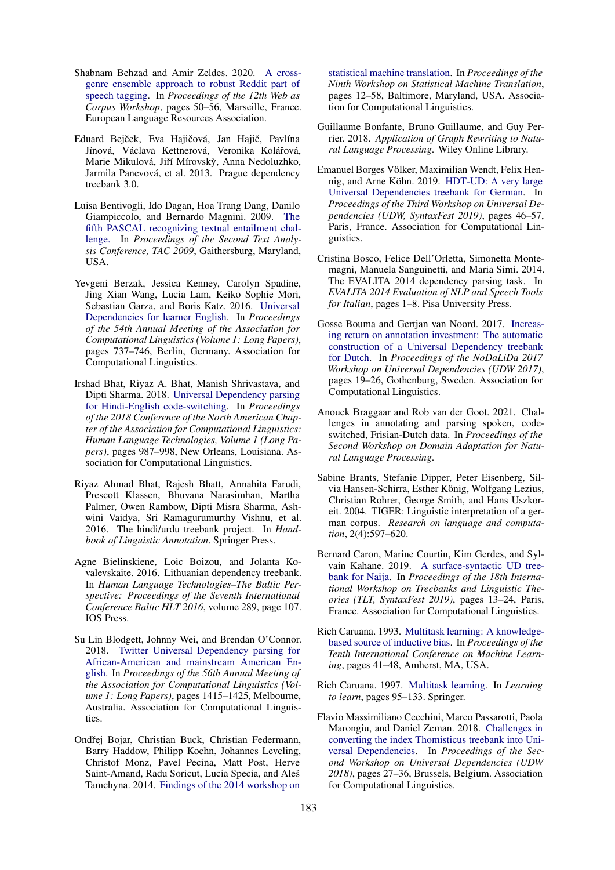- <span id="page-7-16"></span>Shabnam Behzad and Amir Zeldes. 2020. [A cross](https://www.aclweb.org/anthology/2020.wac-1.7)[genre ensemble approach to robust Reddit part of](https://www.aclweb.org/anthology/2020.wac-1.7) [speech tagging.](https://www.aclweb.org/anthology/2020.wac-1.7) In *Proceedings of the 12th Web as Corpus Workshop*, pages 50–56, Marseille, France. European Language Resources Association.
- <span id="page-7-4"></span>Eduard Bejček, Eva Hajičová, Jan Hajič, Pavlína Jínová, Václava Kettnerová, Veronika Kolářová, Marie Mikulová, Jiří Mírovský, Anna Nedoluzhko, Jarmila Panevová, et al. 2013. Prague dependency treebank 3.0.
- <span id="page-7-2"></span>Luisa Bentivogli, Ido Dagan, Hoa Trang Dang, Danilo Giampiccolo, and Bernardo Magnini. 2009. [The](https://tac.nist.gov/publications/2009/additional.papers/RTE5_overview.proceedings.pdf) [fifth PASCAL recognizing textual entailment chal](https://tac.nist.gov/publications/2009/additional.papers/RTE5_overview.proceedings.pdf)[lenge.](https://tac.nist.gov/publications/2009/additional.papers/RTE5_overview.proceedings.pdf) In *Proceedings of the Second Text Analysis Conference, TAC 2009*, Gaithersburg, Maryland, USA.
- <span id="page-7-15"></span>Yevgeni Berzak, Jessica Kenney, Carolyn Spadine, Jing Xian Wang, Lucia Lam, Keiko Sophie Mori, Sebastian Garza, and Boris Katz. 2016. [Universal](https://doi.org/10.18653/v1/P16-1070) [Dependencies for learner English.](https://doi.org/10.18653/v1/P16-1070) In *Proceedings of the 54th Annual Meeting of the Association for Computational Linguistics (Volume 1: Long Papers)*, pages 737–746, Berlin, Germany. Association for Computational Linguistics.
- <span id="page-7-18"></span>Irshad Bhat, Riyaz A. Bhat, Manish Shrivastava, and Dipti Sharma. 2018. [Universal Dependency parsing](https://doi.org/10.18653/v1/N18-1090) [for Hindi-English code-switching.](https://doi.org/10.18653/v1/N18-1090) In *Proceedings of the 2018 Conference of the North American Chapter of the Association for Computational Linguistics: Human Language Technologies, Volume 1 (Long Papers)*, pages 987–998, New Orleans, Louisiana. Association for Computational Linguistics.
- <span id="page-7-13"></span>Riyaz Ahmad Bhat, Rajesh Bhatt, Annahita Farudi, Prescott Klassen, Bhuvana Narasimhan, Martha Palmer, Owen Rambow, Dipti Misra Sharma, Ashwini Vaidya, Sri Ramagurumurthy Vishnu, et al. 2016. The hindi/urdu treebank project. In *Handbook of Linguistic Annotation*. Springer Press.
- <span id="page-7-10"></span>Agne Bielinskiene, Loic Boizou, and Jolanta Kovalevskaite. 2016. Lithuanian dependency treebank. In *Human Language Technologies–The Baltic Perspective: Proceedings of the Seventh International Conference Baltic HLT 2016*, volume 289, page 107. IOS Press.
- <span id="page-7-14"></span>Su Lin Blodgett, Johnny Wei, and Brendan O'Connor. 2018. [Twitter Universal Dependency parsing for](https://doi.org/10.18653/v1/P18-1131) [African-American and mainstream American En](https://doi.org/10.18653/v1/P18-1131)[glish.](https://doi.org/10.18653/v1/P18-1131) In *Proceedings of the 56th Annual Meeting of the Association for Computational Linguistics (Volume 1: Long Papers)*, pages 1415–1425, Melbourne, Australia. Association for Computational Linguistics.
- <span id="page-7-3"></span>Ondřej Bojar, Christian Buck, Christian Federmann, Barry Haddow, Philipp Koehn, Johannes Leveling, Christof Monz, Pavel Pecina, Matt Post, Herve Saint-Amand, Radu Soricut, Lucia Specia, and Aleš Tamchyna. 2014. [Findings of the 2014 workshop on](https://doi.org/10.3115/v1/W14-3302)

[statistical machine translation.](https://doi.org/10.3115/v1/W14-3302) In *Proceedings of the Ninth Workshop on Statistical Machine Translation*, pages 12–58, Baltimore, Maryland, USA. Association for Computational Linguistics.

- <span id="page-7-7"></span>Guillaume Bonfante, Bruno Guillaume, and Guy Perrier. 2018. *Application of Graph Rewriting to Natural Language Processing*. Wiley Online Library.
- <span id="page-7-6"></span>Emanuel Borges Völker, Maximilian Wendt, Felix Hen-nig, and Arne Köhn. 2019. [HDT-UD: A very large](https://doi.org/10.18653/v1/W19-8006) [Universal Dependencies treebank for German.](https://doi.org/10.18653/v1/W19-8006) In *Proceedings of the Third Workshop on Universal Dependencies (UDW, SyntaxFest 2019)*, pages 46–57, Paris, France. Association for Computational Linguistics.
- <span id="page-7-8"></span>Cristina Bosco, Felice Dell'Orletta, Simonetta Montemagni, Manuela Sanguinetti, and Maria Simi. 2014. The EVALITA 2014 dependency parsing task. In *EVALITA 2014 Evaluation of NLP and Speech Tools for Italian*, pages 1–8. Pisa University Press.
- <span id="page-7-11"></span>Gosse Bouma and Gertjan van Noord. 2017. [Increas](https://www.aclweb.org/anthology/W17-0403)[ing return on annotation investment: The automatic](https://www.aclweb.org/anthology/W17-0403) [construction of a Universal Dependency treebank](https://www.aclweb.org/anthology/W17-0403) [for Dutch.](https://www.aclweb.org/anthology/W17-0403) In *Proceedings of the NoDaLiDa 2017 Workshop on Universal Dependencies (UDW 2017)*, pages 19–26, Gothenburg, Sweden. Association for Computational Linguistics.
- <span id="page-7-17"></span>Anouck Braggaar and Rob van der Goot. 2021. Challenges in annotating and parsing spoken, codeswitched, Frisian-Dutch data. In *Proceedings of the Second Workshop on Domain Adaptation for Natural Language Processing*.
- <span id="page-7-5"></span>Sabine Brants, Stefanie Dipper, Peter Eisenberg, Silvia Hansen-Schirra, Esther König, Wolfgang Lezius, Christian Rohrer, George Smith, and Hans Uszkoreit. 2004. TIGER: Linguistic interpretation of a german corpus. *Research on language and computation*, 2(4):597–620.
- <span id="page-7-12"></span>Bernard Caron, Marine Courtin, Kim Gerdes, and Sylvain Kahane. 2019. [A surface-syntactic UD tree](https://doi.org/10.18653/v1/W19-7803)[bank for Naija.](https://doi.org/10.18653/v1/W19-7803) In *Proceedings of the 18th International Workshop on Treebanks and Linguistic Theories (TLT, SyntaxFest 2019)*, pages 13–24, Paris, France. Association for Computational Linguistics.
- <span id="page-7-0"></span>Rich Caruana. 1993. [Multitask learning: A knowledge](https://doi.org/10.1016/b978-1-55860-307-3.50012-5)[based source of inductive bias.](https://doi.org/10.1016/b978-1-55860-307-3.50012-5) In *Proceedings of the Tenth International Conference on Machine Learning*, pages 41–48, Amherst, MA, USA.
- <span id="page-7-1"></span>Rich Caruana. 1997. [Multitask learning.](https://doi.org/10.1007/978-1-4615-5529-2_5) In *Learning to learn*, pages 95–133. Springer.
- <span id="page-7-9"></span>Flavio Massimiliano Cecchini, Marco Passarotti, Paola Marongiu, and Daniel Zeman. 2018. [Challenges in](https://doi.org/10.18653/v1/W18-6004) [converting the index Thomisticus treebank into Uni](https://doi.org/10.18653/v1/W18-6004)[versal Dependencies.](https://doi.org/10.18653/v1/W18-6004) In *Proceedings of the Second Workshop on Universal Dependencies (UDW 2018)*, pages 27–36, Brussels, Belgium. Association for Computational Linguistics.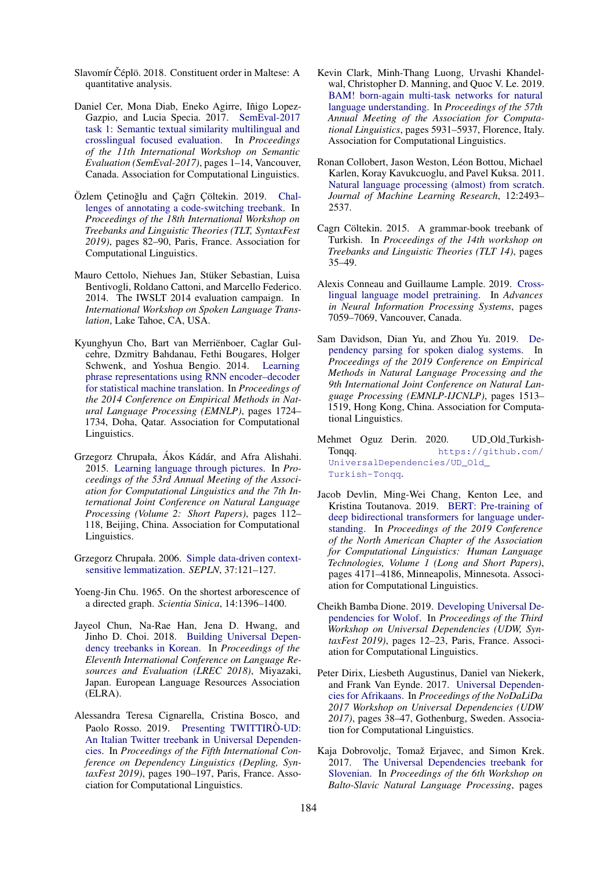- <span id="page-8-13"></span>Slavomír Čéplö. 2018. Constituent order in Maltese: A quantitative analysis.
- <span id="page-8-8"></span>Daniel Cer, Mona Diab, Eneko Agirre, Iñigo Lopez-Gazpio, and Lucia Specia. 2017. [SemEval-2017](https://doi.org/10.18653/v1/S17-2001) [task 1: Semantic textual similarity multilingual and](https://doi.org/10.18653/v1/S17-2001) [crosslingual focused evaluation.](https://doi.org/10.18653/v1/S17-2001) In *Proceedings of the 11th International Workshop on Semantic Evaluation (SemEval-2017)*, pages 1–14, Vancouver, Canada. Association for Computational Linguistics.
- <span id="page-8-15"></span>Özlem Çetinoğlu and Çağrı Çöltekin. 2019. [Chal](https://doi.org/10.18653/v1/W19-7809)[lenges of annotating a code-switching treebank.](https://doi.org/10.18653/v1/W19-7809) In *Proceedings of the 18th International Workshop on Treebanks and Linguistic Theories (TLT, SyntaxFest 2019)*, pages 82–90, Paris, France. Association for Computational Linguistics.
- <span id="page-8-9"></span>Mauro Cettolo, Niehues Jan, Stuker Sebastian, Luisa ¨ Bentivogli, Roldano Cattoni, and Marcello Federico. 2014. The IWSLT 2014 evaluation campaign. In *International Workshop on Spoken Language Translation*, Lake Tahoe, CA, USA.
- <span id="page-8-6"></span>Kyunghyun Cho, Bart van Merriënboer, Caglar Gulcehre, Dzmitry Bahdanau, Fethi Bougares, Holger Schwenk, and Yoshua Bengio. 2014. [Learning](https://doi.org/10.3115/v1/D14-1179) [phrase representations using RNN encoder–decoder](https://doi.org/10.3115/v1/D14-1179) [for statistical machine translation.](https://doi.org/10.3115/v1/D14-1179) In *Proceedings of the 2014 Conference on Empirical Methods in Natural Language Processing (EMNLP)*, pages 1724– 1734, Doha, Qatar. Association for Computational Linguistics.
- <span id="page-8-1"></span>Grzegorz Chrupała, Ákos Kádár, and Afra Alishahi. 2015. [Learning language through pictures.](https://doi.org/10.3115/v1/P15-2019) In *Proceedings of the 53rd Annual Meeting of the Association for Computational Linguistics and the 7th International Joint Conference on Natural Language Processing (Volume 2: Short Papers)*, pages 112– 118, Beijing, China. Association for Computational Linguistics.
- <span id="page-8-4"></span>Grzegorz Chrupała. 2006. [Simple data-driven context](http://journal.sepln.org/sepln/ojs/ojs/index.php/pln/article/viewFile/2741/1259)[sensitive lemmatization.](http://journal.sepln.org/sepln/ojs/ojs/index.php/pln/article/viewFile/2741/1259) *SEPLN*, 37:121–127.
- <span id="page-8-5"></span>Yoeng-Jin Chu. 1965. On the shortest arborescence of a directed graph. *Scientia Sinica*, 14:1396–1400.
- <span id="page-8-12"></span>Jayeol Chun, Na-Rae Han, Jena D. Hwang, and Jinho D. Choi. 2018. [Building Universal Depen](https://www.aclweb.org/anthology/L18-1347)[dency treebanks in Korean.](https://www.aclweb.org/anthology/L18-1347) In *Proceedings of the Eleventh International Conference on Language Resources and Evaluation (LREC 2018)*, Miyazaki, Japan. European Language Resources Association (ELRA).
- <span id="page-8-11"></span>Alessandra Teresa Cignarella, Cristina Bosco, and Paolo Rosso. 2019. [Presenting TWITTIRO-UD:](https://doi.org/10.18653/v1/W19-7723) [An Italian Twitter treebank in Universal Dependen](https://doi.org/10.18653/v1/W19-7723)[cies.](https://doi.org/10.18653/v1/W19-7723) In *Proceedings of the Fifth International Conference on Dependency Linguistics (Depling, SyntaxFest 2019)*, pages 190–197, Paris, France. Association for Computational Linguistics.
- <span id="page-8-3"></span>Kevin Clark, Minh-Thang Luong, Urvashi Khandelwal, Christopher D. Manning, and Quoc V. Le. 2019. [BAM! born-again multi-task networks for natural](https://doi.org/10.18653/v1/P19-1595) [language understanding.](https://doi.org/10.18653/v1/P19-1595) In *Proceedings of the 57th Annual Meeting of the Association for Computational Linguistics*, pages 5931–5937, Florence, Italy. Association for Computational Linguistics.
- <span id="page-8-0"></span>Ronan Collobert, Jason Weston, Léon Bottou, Michael Karlen, Koray Kavukcuoglu, and Pavel Kuksa. 2011. [Natural language processing \(almost\) from scratch.](http://dl.acm.org/citation.cfm?id=2078186) *Journal of Machine Learning Research*, 12:2493– 2537.
- <span id="page-8-17"></span>Cagri Cöltekin. 2015. A grammar-book treebank of Turkish. In *Proceedings of the 14th workshop on Treebanks and Linguistic Theories (TLT 14)*, pages 35–49.
- <span id="page-8-7"></span>Alexis Conneau and Guillaume Lample. 2019. [Cross](https://proceedings.neurips.cc/paper/2019/hash/c04c19c2c2474dbf5f7ac4372c5b9af1-Abstract.html)[lingual language model pretraining.](https://proceedings.neurips.cc/paper/2019/hash/c04c19c2c2474dbf5f7ac4372c5b9af1-Abstract.html) In *Advances in Neural Information Processing Systems*, pages 7059–7069, Vancouver, Canada.
- <span id="page-8-19"></span>Sam Davidson, Dian Yu, and Zhou Yu. 2019. [De](https://doi.org/10.18653/v1/D19-1162)[pendency parsing for spoken dialog systems.](https://doi.org/10.18653/v1/D19-1162) In *Proceedings of the 2019 Conference on Empirical Methods in Natural Language Processing and the 9th International Joint Conference on Natural Language Processing (EMNLP-IJCNLP)*, pages 1513– 1519, Hong Kong, China. Association for Computational Linguistics.
- <span id="page-8-14"></span>Mehmet Oguz Derin. 2020. UD Old TurkishTonqq. [https://github.com/](https://github.com/UniversalDependencies/UD_Old_Turkish-Tonqq) [UniversalDependencies/UD\\_Old\\_](https://github.com/UniversalDependencies/UD_Old_Turkish-Tonqq) [Turkish-Tonqq](https://github.com/UniversalDependencies/UD_Old_Turkish-Tonqq).
- <span id="page-8-2"></span>Jacob Devlin, Ming-Wei Chang, Kenton Lee, and Kristina Toutanova. 2019. [BERT: Pre-training of](https://doi.org/10.18653/v1/N19-1423) [deep bidirectional transformers for language under](https://doi.org/10.18653/v1/N19-1423)[standing.](https://doi.org/10.18653/v1/N19-1423) In *Proceedings of the 2019 Conference of the North American Chapter of the Association for Computational Linguistics: Human Language Technologies, Volume 1 (Long and Short Papers)*, pages 4171–4186, Minneapolis, Minnesota. Association for Computational Linguistics.
- <span id="page-8-18"></span>Cheikh Bamba Dione. 2019. [Developing Universal De](https://doi.org/10.18653/v1/W19-8003)[pendencies for Wolof.](https://doi.org/10.18653/v1/W19-8003) In *Proceedings of the Third Workshop on Universal Dependencies (UDW, SyntaxFest 2019)*, pages 12–23, Paris, France. Association for Computational Linguistics.
- <span id="page-8-10"></span>Peter Dirix, Liesbeth Augustinus, Daniel van Niekerk, and Frank Van Eynde. 2017. [Universal Dependen](https://www.aclweb.org/anthology/W17-0405)[cies for Afrikaans.](https://www.aclweb.org/anthology/W17-0405) In *Proceedings of the NoDaLiDa 2017 Workshop on Universal Dependencies (UDW 2017)*, pages 38–47, Gothenburg, Sweden. Association for Computational Linguistics.
- <span id="page-8-16"></span>Kaja Dobrovoljc, Tomaž Erjavec, and Simon Krek. 2017. [The Universal Dependencies treebank for](https://doi.org/10.18653/v1/W17-1406) [Slovenian.](https://doi.org/10.18653/v1/W17-1406) In *Proceedings of the 6th Workshop on Balto-Slavic Natural Language Processing*, pages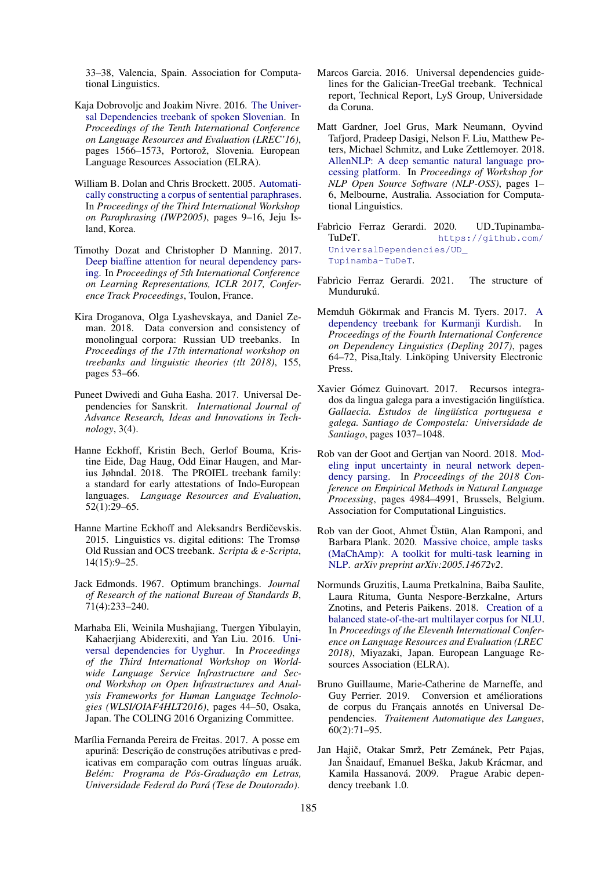33–38, Valencia, Spain. Association for Computational Linguistics.

- <span id="page-9-17"></span>Kaja Dobrovoljc and Joakim Nivre. 2016. [The Univer](https://www.aclweb.org/anthology/L16-1248)[sal Dependencies treebank of spoken Slovenian.](https://www.aclweb.org/anthology/L16-1248) In *Proceedings of the Tenth International Conference on Language Resources and Evaluation (LREC'16)*, pages 1566–1573, Portorož, Slovenia. European Language Resources Association (ELRA).
- <span id="page-9-3"></span>William B. Dolan and Chris Brockett. 2005. [Automati](https://www.aclweb.org/anthology/I05-5002)[cally constructing a corpus of sentential paraphrases.](https://www.aclweb.org/anthology/I05-5002) In *Proceedings of the Third International Workshop on Paraphrasing (IWP2005)*, pages 9–16, Jeju Island, Korea.
- <span id="page-9-1"></span>Timothy Dozat and Christopher D Manning. 2017. [Deep biaffine attention for neural dependency pars](https://nlp.stanford.edu/pubs/dozat2017deep.pdf)[ing.](https://nlp.stanford.edu/pubs/dozat2017deep.pdf) In *Proceedings of 5th International Conference on Learning Representations, ICLR 2017, Conference Track Proceedings*, Toulon, France.
- <span id="page-9-15"></span>Kira Droganova, Olga Lyashevskaya, and Daniel Zeman. 2018. Data conversion and consistency of monolingual corpora: Russian UD treebanks. In *Proceedings of the 17th international workshop on treebanks and linguistic theories (tlt 2018)*, 155, pages 53–66.
- <span id="page-9-16"></span>Puneet Dwivedi and Guha Easha. 2017. Universal Dependencies for Sanskrit. *International Journal of Advance Research, Ideas and Innovations in Technology*, 3(4).
- <span id="page-9-10"></span>Hanne Eckhoff, Kristin Bech, Gerlof Bouma, Kristine Eide, Dag Haug, Odd Einar Haugen, and Marius Jøhndal. 2018. The PROIEL treebank family: a standard for early attestations of Indo-European languages. *Language Resources and Evaluation*, 52(1):29–65.
- <span id="page-9-14"></span>Hanne Martine Eckhoff and Aleksandrs Berdičevskis. 2015. Linguistics vs. digital editions: The Tromsø Old Russian and OCS treebank. *Scripta & e-Scripta*, 14(15):9–25.
- <span id="page-9-2"></span>Jack Edmonds. 1967. Optimum branchings. *Journal of Research of the national Bureau of Standards B*, 71(4):233–240.
- <span id="page-9-19"></span>Marhaba Eli, Weinila Mushajiang, Tuergen Yibulayin, Kahaerjiang Abiderexiti, and Yan Liu. 2016. [Uni](https://www.aclweb.org/anthology/W16-5206)[versal dependencies for Uyghur.](https://www.aclweb.org/anthology/W16-5206) In *Proceedings of the Third International Workshop on Worldwide Language Service Infrastructure and Second Workshop on Open Infrastructures and Analysis Frameworks for Human Language Technologies (WLSI/OIAF4HLT2016)*, pages 44–50, Osaka, Japan. The COLING 2016 Organizing Committee.
- <span id="page-9-5"></span>Marília Fernanda Pereira de Freitas. 2017. A posse em apurinã: Descrição de construções atributivas e predicativas em comparação com outras línguas aruák. *Belem: Programa de P ´ os-Graduac¸ ´ ao em Letras, ˜ Universidade Federal do Para (Tese de Doutorado) ´* .
- <span id="page-9-9"></span>Marcos Garcia. 2016. Universal dependencies guidelines for the Galician-TreeGal treebank. Technical report, Technical Report, LyS Group, Universidade da Coruna.
- <span id="page-9-0"></span>Matt Gardner, Joel Grus, Mark Neumann, Oyvind Tafjord, Pradeep Dasigi, Nelson F. Liu, Matthew Peters, Michael Schmitz, and Luke Zettlemoyer. 2018. [AllenNLP: A deep semantic natural language pro](https://doi.org/10.18653/v1/W18-2501)[cessing platform.](https://doi.org/10.18653/v1/W18-2501) In *Proceedings of Workshop for NLP Open Source Software (NLP-OSS)*, pages 1– 6, Melbourne, Australia. Association for Computational Linguistics.
- <span id="page-9-18"></span>Fabrìcio Ferraz Gerardi. 2020. UD TupinambaTuDeT. [https://github.com/](https://github.com/UniversalDependencies/UD_Tupinamba-TuDeT) [UniversalDependencies/UD\\_](https://github.com/UniversalDependencies/UD_Tupinamba-TuDeT) [Tupinamba-TuDeT](https://github.com/UniversalDependencies/UD_Tupinamba-TuDeT).
- <span id="page-9-13"></span>Fabrìcio Ferraz Gerardi. 2021. The structure of Mundurukú
- <span id="page-9-11"></span>Memduh Gökırmak and Francis M. Tyers. 2017. [A](https://www.aclweb.org/anthology/W17-6509) [dependency treebank for Kurmanji Kurdish.](https://www.aclweb.org/anthology/W17-6509) In *Proceedings of the Fourth International Conference on Dependency Linguistics (Depling 2017)*, pages 64–72, Pisa,Italy. Linköping University Electronic Press.
- <span id="page-9-8"></span>Xavier Gómez Guinovart. 2017. Recursos integrados da lingua galega para a investigación lingüística. Gallaecia. Estudos de lingüística portuguesa e *galega. Santiago de Compostela: Universidade de Santiago*, pages 1037–1048.
- <span id="page-9-20"></span>Rob van der Goot and Gertjan van Noord. 2018. [Mod](https://doi.org/10.18653/v1/D18-1542)[eling input uncertainty in neural network depen](https://doi.org/10.18653/v1/D18-1542)[dency parsing.](https://doi.org/10.18653/v1/D18-1542) In *Proceedings of the 2018 Conference on Empirical Methods in Natural Language Processing*, pages 4984–4991, Brussels, Belgium. Association for Computational Linguistics.
- <span id="page-9-4"></span>Rob van der Goot, Ahmet Üstün, Alan Ramponi, and Barbara Plank. 2020. [Massive choice, ample tasks](https://arxiv.org/abs/2005.14672v2) [\(MaChAmp\): A toolkit for multi-task learning in](https://arxiv.org/abs/2005.14672v2) [NLP.](https://arxiv.org/abs/2005.14672v2) *arXiv preprint arXiv:2005.14672v2*.
- <span id="page-9-12"></span>Normunds Gruzitis, Lauma Pretkalnina, Baiba Saulite, Laura Rituma, Gunta Nespore-Berzkalne, Arturs Znotins, and Peteris Paikens. 2018. [Creation of a](https://www.aclweb.org/anthology/L18-1714) [balanced state-of-the-art multilayer corpus for NLU.](https://www.aclweb.org/anthology/L18-1714) In *Proceedings of the Eleventh International Conference on Language Resources and Evaluation (LREC 2018)*, Miyazaki, Japan. European Language Resources Association (ELRA).
- <span id="page-9-7"></span>Bruno Guillaume, Marie-Catherine de Marneffe, and Guy Perrier. 2019. Conversion et améliorations de corpus du Français annotés en Universal Dependencies. *Traitement Automatique des Langues*, 60(2):71–95.
- <span id="page-9-6"></span>Jan Hajič, Otakar Smrž, Petr Zemánek, Petr Pajas, Jan Šnaidauf, Emanuel Beška, Jakub Krácmar, and Kamila Hassanová. 2009. Prague Arabic dependency treebank 1.0.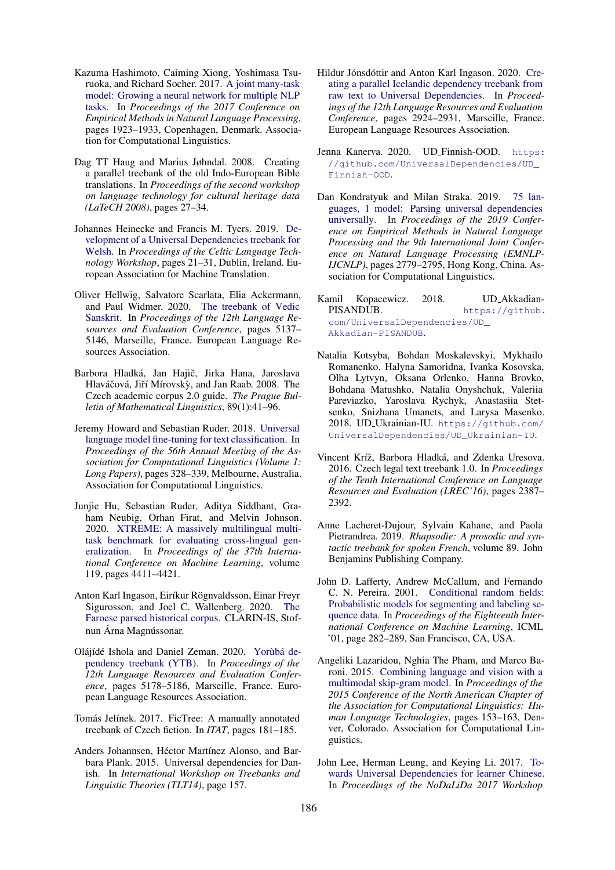- <span id="page-10-1"></span>Kazuma Hashimoto, Caiming Xiong, Yoshimasa Tsuruoka, and Richard Socher. 2017. [A joint many-task](https://doi.org/10.18653/v1/D17-1206) [model: Growing a neural network for multiple NLP](https://doi.org/10.18653/v1/D17-1206) [tasks.](https://doi.org/10.18653/v1/D17-1206) In *Proceedings of the 2017 Conference on Empirical Methods in Natural Language Processing*, pages 1923–1933, Copenhagen, Denmark. Association for Computational Linguistics.
- <span id="page-10-10"></span>Dag TT Haug and Marius Jøhndal. 2008. Creating a parallel treebank of the old Indo-European Bible translations. In *Proceedings of the second workshop on language technology for cultural heritage data (LaTeCH 2008)*, pages 27–34.
- <span id="page-10-11"></span>Johannes Heinecke and Francis M. Tyers. 2019. [De](https://www.aclweb.org/anthology/W19-6904)[velopment of a Universal Dependencies treebank for](https://www.aclweb.org/anthology/W19-6904) [Welsh.](https://www.aclweb.org/anthology/W19-6904) In *Proceedings of the Celtic Language Technology Workshop*, pages 21–31, Dublin, Ireland. European Association for Machine Translation.
- <span id="page-10-17"></span>Oliver Hellwig, Salvatore Scarlata, Elia Ackermann, and Paul Widmer. 2020. [The treebank of Vedic](https://www.aclweb.org/anthology/2020.lrec-1.632) [Sanskrit.](https://www.aclweb.org/anthology/2020.lrec-1.632) In *Proceedings of the 12th Language Resources and Evaluation Conference*, pages 5137– 5146, Marseille, France. European Language Resources Association.
- <span id="page-10-7"></span>Barbora Hladká, Jan Hajič, Jirka Hana, Jaroslava Hlaváčová, Jiří Mírovský, and Jan Raab. 2008. The Czech academic corpus 2.0 guide. *The Prague Bulletin of Mathematical Linguistics*, 89(1):41–96.
- <span id="page-10-2"></span>Jeremy Howard and Sebastian Ruder. 2018. [Universal](https://doi.org/10.18653/v1/P18-1031) [language model fine-tuning for text classification.](https://doi.org/10.18653/v1/P18-1031) In *Proceedings of the 56th Annual Meeting of the Association for Computational Linguistics (Volume 1: Long Papers)*, pages 328–339, Melbourne, Australia. Association for Computational Linguistics.
- <span id="page-10-4"></span>Junjie Hu, Sebastian Ruder, Aditya Siddhant, Graham Neubig, Orhan Firat, and Melvin Johnson. 2020. [XTREME: A massively multilingual multi](http://proceedings.mlr.press/v119/hu20b.html)[task benchmark for evaluating cross-lingual gen](http://proceedings.mlr.press/v119/hu20b.html)[eralization.](http://proceedings.mlr.press/v119/hu20b.html) In *Proceedings of the 37th International Conference on Machine Learning*, volume 119, pages 4411–4421.
- <span id="page-10-14"></span>Anton Karl Ingason, Eiríkur Rögnvaldsson, Einar Freyr Sigurosson, and Joel C. Wallenberg. 2020. [The](http://hdl.handle.net/20.500.12537/92) [Faroese parsed historical corpus.](http://hdl.handle.net/20.500.12537/92) CLARIN-IS, Stofnun Árna Magnússonar.
- <span id="page-10-19"></span>Olájídé Ishola and Daniel Zeman. 2020. Yorùbá de[pendency treebank \(YTB\).](https://www.aclweb.org/anthology/2020.lrec-1.637) In *Proceedings of the 12th Language Resources and Evaluation Conference*, pages 5178–5186, Marseille, France. European Language Resources Association.
- <span id="page-10-9"></span>Tomás Jelínek. 2017. FicTree: A manually annotated treebank of Czech fiction. In *ITAT*, pages 181–185.
- <span id="page-10-12"></span>Anders Johannsen, Héctor Martínez Alonso, and Barbara Plank. 2015. Universal dependencies for Danish. In *International Workshop on Treebanks and Linguistic Theories (TLT14)*, page 157.
- <span id="page-10-16"></span>Hildur Jónsdóttir and Anton Karl Ingason. 2020. [Cre](https://www.aclweb.org/anthology/2020.lrec-1.357)[ating a parallel Icelandic dependency treebank from](https://www.aclweb.org/anthology/2020.lrec-1.357) [raw text to Universal Dependencies.](https://www.aclweb.org/anthology/2020.lrec-1.357) In *Proceedings of the 12th Language Resources and Evaluation Conference*, pages 2924–2931, Marseille, France. European Language Resources Association.
- <span id="page-10-13"></span>Jenna Kanerva. 2020. UD\_Finnish-OOD. [https:](https://github.com/UniversalDependencies/UD_Finnish-OOD) [//github.com/UniversalDependencies/UD\\_](https://github.com/UniversalDependencies/UD_Finnish-OOD) [Finnish-OOD](https://github.com/UniversalDependencies/UD_Finnish-OOD).
- <span id="page-10-3"></span>Dan Kondratyuk and Milan Straka. 2019. [75 lan](https://doi.org/10.18653/v1/D19-1279)[guages, 1 model: Parsing universal dependencies](https://doi.org/10.18653/v1/D19-1279) [universally.](https://doi.org/10.18653/v1/D19-1279) In *Proceedings of the 2019 Conference on Empirical Methods in Natural Language Processing and the 9th International Joint Conference on Natural Language Processing (EMNLP-IJCNLP)*, pages 2779–2795, Hong Kong, China. Association for Computational Linguistics.
- <span id="page-10-6"></span>Kamil Kopacewicz. 2018. UD AkkadianPISANDUB. [https://github.](https://github.com/UniversalDependencies/UD_Akkadian-PISANDUB) [com/UniversalDependencies/UD\\_](https://github.com/UniversalDependencies/UD_Akkadian-PISANDUB) [Akkadian-PISANDUB](https://github.com/UniversalDependencies/UD_Akkadian-PISANDUB).
- <span id="page-10-18"></span>Natalia Kotsyba, Bohdan Moskalevskyi, Mykhailo Romanenko, Halyna Samoridna, Ivanka Kosovska, Olha Lytvyn, Oksana Orlenko, Hanna Brovko, Bohdana Matushko, Natalia Onyshchuk, Valeriia Pareviazko, Yaroslava Rychyk, Anastasiia Stetsenko, Snizhana Umanets, and Larysa Masenko. 2018. UD Ukrainian-IU. [https://github.com/](https://github.com/UniversalDependencies/UD_Ukrainian-IU) [UniversalDependencies/UD\\_Ukrainian-IU](https://github.com/UniversalDependencies/UD_Ukrainian-IU).
- <span id="page-10-8"></span>Vincent Kríž, Barbora Hladká, and Zdenka Uresova. 2016. Czech legal text treebank 1.0. In *Proceedings of the Tenth International Conference on Language Resources and Evaluation (LREC'16)*, pages 2387– 2392.
- <span id="page-10-15"></span>Anne Lacheret-Dujour, Sylvain Kahane, and Paola Pietrandrea. 2019. *Rhapsodie: A prosodic and syntactic treebank for spoken French*, volume 89. John Benjamins Publishing Company.
- <span id="page-10-5"></span>John D. Lafferty, Andrew McCallum, and Fernando C. N. Pereira. 2001. [Conditional random fields:](https://repository.upenn.edu/cgi/viewcontent.cgi?article=1162&context=cis_papers) [Probabilistic models for segmenting and labeling se](https://repository.upenn.edu/cgi/viewcontent.cgi?article=1162&context=cis_papers)[quence data.](https://repository.upenn.edu/cgi/viewcontent.cgi?article=1162&context=cis_papers) In *Proceedings of the Eighteenth International Conference on Machine Learning*, ICML '01, page 282–289, San Francisco, CA, USA.
- <span id="page-10-0"></span>Angeliki Lazaridou, Nghia The Pham, and Marco Baroni. 2015. [Combining language and vision with a](https://doi.org/10.3115/v1/N15-1016) [multimodal skip-gram model.](https://doi.org/10.3115/v1/N15-1016) In *Proceedings of the 2015 Conference of the North American Chapter of the Association for Computational Linguistics: Human Language Technologies*, pages 153–163, Denver, Colorado. Association for Computational Linguistics.
- <span id="page-10-20"></span>John Lee, Herman Leung, and Keying Li. 2017. [To](https://www.aclweb.org/anthology/W17-0408)[wards Universal Dependencies for learner Chinese.](https://www.aclweb.org/anthology/W17-0408) In *Proceedings of the NoDaLiDa 2017 Workshop*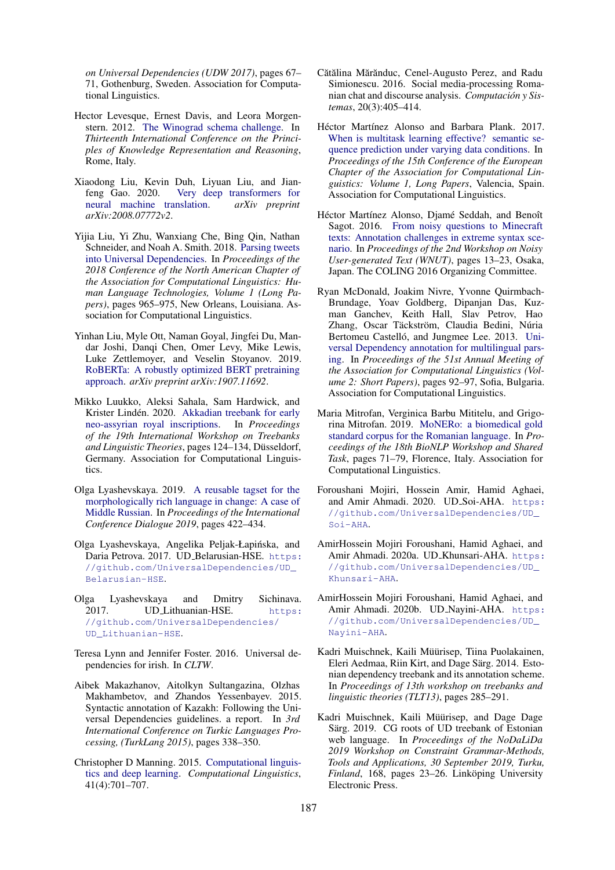*on Universal Dependencies (UDW 2017)*, pages 67– 71, Gothenburg, Sweden. Association for Computational Linguistics.

- <span id="page-11-4"></span>Hector Levesque, Ernest Davis, and Leora Morgenstern. 2012. [The Winograd schema challenge.](http://www.aaai.org/ocs/index.php/KR/KR12/paper/view/4492) In *Thirteenth International Conference on the Principles of Knowledge Representation and Reasoning*, Rome, Italy.
- <span id="page-11-3"></span>Xiaodong Liu, Kevin Duh, Liyuan Liu, and Jianfeng Gao. 2020. [Very deep transformers for](https://arxiv.org/abs/2008.07772v2) [neural machine translation.](https://arxiv.org/abs/2008.07772v2) *arXiv preprint arXiv:2008.07772v2*.
- <span id="page-11-19"></span>Yijia Liu, Yi Zhu, Wanxiang Che, Bing Qin, Nathan Schneider, and Noah A. Smith. 2018. [Parsing tweets](https://doi.org/10.18653/v1/N18-1088) [into Universal Dependencies.](https://doi.org/10.18653/v1/N18-1088) In *Proceedings of the 2018 Conference of the North American Chapter of the Association for Computational Linguistics: Human Language Technologies, Volume 1 (Long Papers)*, pages 965–975, New Orleans, Louisiana. Association for Computational Linguistics.
- <span id="page-11-2"></span>Yinhan Liu, Myle Ott, Naman Goyal, Jingfei Du, Mandar Joshi, Danqi Chen, Omer Levy, Mike Lewis, Luke Zettlemoyer, and Veselin Stoyanov. 2019. [RoBERTa: A robustly optimized BERT pretraining](https://arxiv.org/abs/1907.11692) [approach.](https://arxiv.org/abs/1907.11692) *arXiv preprint arXiv:1907.11692*.
- <span id="page-11-5"></span>Mikko Luukko, Aleksi Sahala, Sam Hardwick, and Krister Lindén. 2020. [Akkadian treebank for early](https://doi.org/10.18653/v1/2020.tlt-1.11) [neo-assyrian royal inscriptions.](https://doi.org/10.18653/v1/2020.tlt-1.11) In *Proceedings of the 19th International Workshop on Treebanks and Linguistic Theories*, pages 124–134, Dusseldorf, ¨ Germany. Association for Computational Linguistics.
- <span id="page-11-15"></span>Olga Lyashevskaya. 2019. [A reusable tagset for the](http://www.dialog-21.ru/media/4614/lyashevskayaon-163.pdf) [morphologically rich language in change: A case of](http://www.dialog-21.ru/media/4614/lyashevskayaon-163.pdf) [Middle Russian.](http://www.dialog-21.ru/media/4614/lyashevskayaon-163.pdf) In *Proceedings of the International Conference Dialogue 2019*, pages 422–434.
- <span id="page-11-7"></span>Olga Lyashevskaya, Angelika Peljak-Łapińska, and Daria Petrova. 2017. UD\_Belarusian-HSE. [https:](https://github.com/UniversalDependencies/UD_Belarusian-HSE) [//github.com/UniversalDependencies/UD\\_](https://github.com/UniversalDependencies/UD_Belarusian-HSE) [Belarusian-HSE](https://github.com/UniversalDependencies/UD_Belarusian-HSE).
- <span id="page-11-13"></span>Olga Lyashevskaya and Dmitry Sichinava. 2017. UD\_Lithuanian-HSE. [https:](https://github.com/UniversalDependencies/UD_Lithuanian-HSE) [//github.com/UniversalDependencies/](https://github.com/UniversalDependencies/UD_Lithuanian-HSE) [UD\\_Lithuanian-HSE](https://github.com/UniversalDependencies/UD_Lithuanian-HSE).
- <span id="page-11-10"></span>Teresa Lynn and Jennifer Foster. 2016. Universal dependencies for irish. In *CLTW*.
- <span id="page-11-12"></span>Aibek Makazhanov, Aitolkyn Sultangazina, Olzhas Makhambetov, and Zhandos Yessenbayev. 2015. Syntactic annotation of Kazakh: Following the Universal Dependencies guidelines. a report. In *3rd International Conference on Turkic Languages Processing, (TurkLang 2015)*, pages 338–350.
- <span id="page-11-0"></span>Christopher D Manning. 2015. [Computational linguis](https://doi.org/10.1162/COLI_a_00239)[tics and deep learning.](https://doi.org/10.1162/COLI_a_00239) *Computational Linguistics*, 41(4):701–707.
- <span id="page-11-16"></span>Cătălina Mărănduc, Cenel-Augusto Perez, and Radu Simionescu. 2016. Social media-processing Romanian chat and discourse analysis. *Computacion y Sis- ´ temas*, 20(3):405–414.
- <span id="page-11-1"></span>Héctor Martínez Alonso and Barbara Plank. 2017. [When is multitask learning effective? semantic se](https://www.aclweb.org/anthology/E17-1005)[quence prediction under varying data conditions.](https://www.aclweb.org/anthology/E17-1005) In *Proceedings of the 15th Conference of the European Chapter of the Association for Computational Linguistics: Volume 1, Long Papers*, Valencia, Spain. Association for Computational Linguistics.
- <span id="page-11-20"></span>Héctor Martínez Alonso, Djamé Seddah, and Benoît Sagot. 2016. [From noisy questions to Minecraft](https://www.aclweb.org/anthology/W16-3905) [texts: Annotation challenges in extreme syntax sce](https://www.aclweb.org/anthology/W16-3905)[nario.](https://www.aclweb.org/anthology/W16-3905) In *Proceedings of the 2nd Workshop on Noisy User-generated Text (WNUT)*, pages 13–23, Osaka, Japan. The COLING 2016 Organizing Committee.
- <span id="page-11-6"></span>Ryan McDonald, Joakim Nivre, Yvonne Quirmbach-Brundage, Yoav Goldberg, Dipanjan Das, Kuzman Ganchev, Keith Hall, Slav Petrov, Hao Zhang, Oscar Täckström, Claudia Bedini, Núria Bertomeu Castelló, and Jungmee Lee. 2013. [Uni](https://www.aclweb.org/anthology/P13-2017)[versal Dependency annotation for multilingual pars](https://www.aclweb.org/anthology/P13-2017)[ing.](https://www.aclweb.org/anthology/P13-2017) In *Proceedings of the 51st Annual Meeting of the Association for Computational Linguistics (Volume 2: Short Papers)*, pages 92–97, Sofia, Bulgaria. Association for Computational Linguistics.
- <span id="page-11-17"></span>Maria Mitrofan, Verginica Barbu Mititelu, and Grigorina Mitrofan. 2019. [MoNERo: a biomedical gold](https://doi.org/10.18653/v1/W19-5008) [standard corpus for the Romanian language.](https://doi.org/10.18653/v1/W19-5008) In *Proceedings of the 18th BioNLP Workshop and Shared Task*, pages 71–79, Florence, Italy. Association for Computational Linguistics.
- <span id="page-11-18"></span>Foroushani Mojiri, Hossein Amir, Hamid Aghaei, and Amir Ahmadi. 2020. UD\_Soi-AHA. [https:](https://github.com/UniversalDependencies/UD_Soi-AHA) [//github.com/UniversalDependencies/UD\\_](https://github.com/UniversalDependencies/UD_Soi-AHA) [Soi-AHA](https://github.com/UniversalDependencies/UD_Soi-AHA).
- <span id="page-11-11"></span>AmirHossein Mojiri Foroushani, Hamid Aghaei, and Amir Ahmadi. 2020a. UD\_Khunsari-AHA. [https:](https://github.com/UniversalDependencies/UD_Khunsari-AHA) [//github.com/UniversalDependencies/UD\\_](https://github.com/UniversalDependencies/UD_Khunsari-AHA) [Khunsari-AHA](https://github.com/UniversalDependencies/UD_Khunsari-AHA).
- <span id="page-11-14"></span>AmirHossein Mojiri Foroushani, Hamid Aghaei, and Amir Ahmadi. 2020b. UD\_Nayini-AHA. [https:](https://github.com/UniversalDependencies/UD_Nayini-AHA) [//github.com/UniversalDependencies/UD\\_](https://github.com/UniversalDependencies/UD_Nayini-AHA) [Nayini-AHA](https://github.com/UniversalDependencies/UD_Nayini-AHA).
- <span id="page-11-8"></span>Kadri Muischnek, Kaili Müürisep, Tiina Puolakainen, Eleri Aedmaa, Riin Kirt, and Dage Särg. 2014. Estonian dependency treebank and its annotation scheme. In *Proceedings of 13th workshop on treebanks and linguistic theories (TLT13)*, pages 285–291.
- <span id="page-11-9"></span>Kadri Muischnek, Kaili Müürisep, and Dage Dage Särg. 2019. CG roots of UD treebank of Estonian web language. In *Proceedings of the NoDaLiDa 2019 Workshop on Constraint Grammar-Methods, Tools and Applications, 30 September 2019, Turku, Finland*, 168, pages 23–26. Linköping University Electronic Press.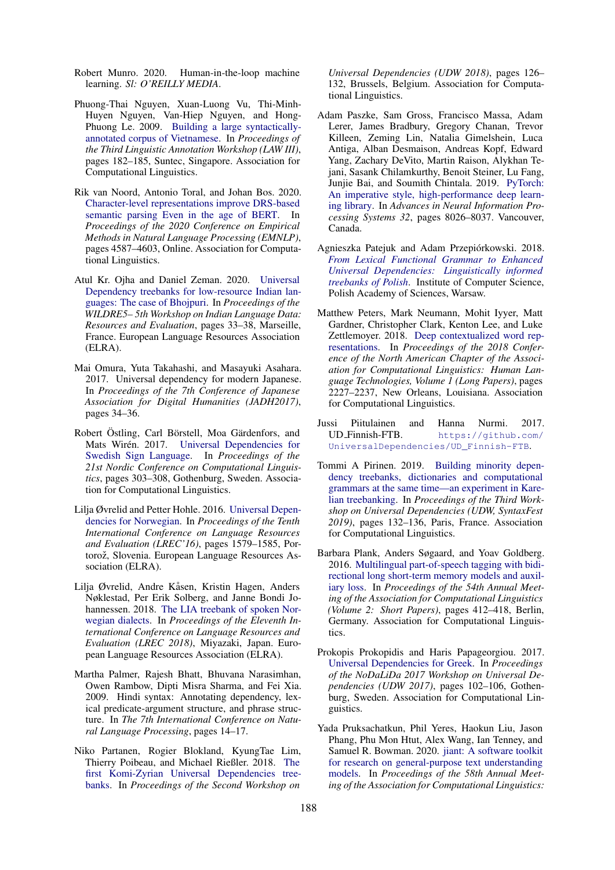- <span id="page-12-7"></span>Robert Munro. 2020. Human-in-the-loop machine learning. *Sl: O'REILLY MEDIA*.
- <span id="page-12-17"></span>Phuong-Thai Nguyen, Xuan-Luong Vu, Thi-Minh-Huyen Nguyen, Van-Hiep Nguyen, and Hong-Phuong Le. 2009. [Building a large syntactically](https://www.aclweb.org/anthology/W09-3035)[annotated corpus of Vietnamese.](https://www.aclweb.org/anthology/W09-3035) In *Proceedings of the Third Linguistic Annotation Workshop (LAW III)*, pages 182–185, Suntec, Singapore. Association for Computational Linguistics.
- <span id="page-12-4"></span>Rik van Noord, Antonio Toral, and Johan Bos. 2020. [Character-level representations improve DRS-based](https://doi.org/10.18653/v1/2020.emnlp-main.371) [semantic parsing Even in the age of BERT.](https://doi.org/10.18653/v1/2020.emnlp-main.371) In *Proceedings of the 2020 Conference on Empirical Methods in Natural Language Processing (EMNLP)*, pages 4587–4603, Online. Association for Computational Linguistics.
- <span id="page-12-5"></span>Atul Kr. Ojha and Daniel Zeman. 2020. [Universal](https://www.aclweb.org/anthology/2020.wildre-1.7) [Dependency treebanks for low-resource Indian lan](https://www.aclweb.org/anthology/2020.wildre-1.7)[guages: The case of Bhojpuri.](https://www.aclweb.org/anthology/2020.wildre-1.7) In *Proceedings of the WILDRE5– 5th Workshop on Indian Language Data: Resources and Evaluation*, pages 33–38, Marseille, France. European Language Resources Association (ELRA).
- <span id="page-12-10"></span>Mai Omura, Yuta Takahashi, and Masayuki Asahara. 2017. Universal dependency for modern Japanese. In *Proceedings of the 7th Conference of Japanese Association for Digital Humanities (JADH2017)*, pages 34–36.
- <span id="page-12-16"></span>Robert Östling, Carl Börstell, Moa Gärdenfors, and Mats Wirén. 2017. [Universal Dependencies for](https://www.aclweb.org/anthology/W17-0243) [Swedish Sign Language.](https://www.aclweb.org/anthology/W17-0243) In *Proceedings of the 21st Nordic Conference on Computational Linguistics*, pages 303–308, Gothenburg, Sweden. Association for Computational Linguistics.
- <span id="page-12-13"></span>Lilja Øvrelid and Petter Hohle. 2016. [Universal Depen](https://www.aclweb.org/anthology/L16-1250)[dencies for Norwegian.](https://www.aclweb.org/anthology/L16-1250) In *Proceedings of the Tenth International Conference on Language Resources and Evaluation (LREC'16)*, pages 1579–1585, Portorož, Slovenia. European Language Resources Association (ELRA).
- <span id="page-12-14"></span>Lilja Øvrelid, Andre Kåsen, Kristin Hagen, Anders Nøklestad, Per Erik Solberg, and Janne Bondi Johannessen. 2018. [The LIA treebank of spoken Nor](https://www.aclweb.org/anthology/L18-1710)[wegian dialects.](https://www.aclweb.org/anthology/L18-1710) In *Proceedings of the Eleventh International Conference on Language Resources and Evaluation (LREC 2018)*, Miyazaki, Japan. European Language Resources Association (ELRA).
- <span id="page-12-9"></span>Martha Palmer, Rajesh Bhatt, Bhuvana Narasimhan, Owen Rambow, Dipti Misra Sharma, and Fei Xia. 2009. Hindi syntax: Annotating dependency, lexical predicate-argument structure, and phrase structure. In *The 7th International Conference on Natural Language Processing*, pages 14–17.
- <span id="page-12-11"></span>Niko Partanen, Rogier Blokland, KyungTae Lim, Thierry Poibeau, and Michael Rießler. 2018. [The](https://doi.org/10.18653/v1/W18-6015) [first Komi-Zyrian Universal Dependencies tree](https://doi.org/10.18653/v1/W18-6015)[banks.](https://doi.org/10.18653/v1/W18-6015) In *Proceedings of the Second Workshop on*

*Universal Dependencies (UDW 2018)*, pages 126– 132, Brussels, Belgium. Association for Computational Linguistics.

- <span id="page-12-2"></span>Adam Paszke, Sam Gross, Francisco Massa, Adam Lerer, James Bradbury, Gregory Chanan, Trevor Killeen, Zeming Lin, Natalia Gimelshein, Luca Antiga, Alban Desmaison, Andreas Kopf, Edward Yang, Zachary DeVito, Martin Raison, Alykhan Tejani, Sasank Chilamkurthy, Benoit Steiner, Lu Fang, Junjie Bai, and Soumith Chintala. 2019. [PyTorch:](http://papers.nips.cc/paper/9015-pytorch-an-imperative-style-high-performance-deep-learning-library.pdf) [An imperative style, high-performance deep learn](http://papers.nips.cc/paper/9015-pytorch-an-imperative-style-high-performance-deep-learning-library.pdf)[ing library.](http://papers.nips.cc/paper/9015-pytorch-an-imperative-style-high-performance-deep-learning-library.pdf) In *Advances in Neural Information Processing Systems 32*, pages 8026–8037. Vancouver, Canada.
- <span id="page-12-15"></span>Agnieszka Patejuk and Adam Przepiórkowski. 2018. *[From Lexical Functional Grammar to Enhanced](http://nlp.ipipan.waw.pl/Bib/pat:prz:18:book.pdf) [Universal Dependencies: Linguistically informed](http://nlp.ipipan.waw.pl/Bib/pat:prz:18:book.pdf) [treebanks of Polish](http://nlp.ipipan.waw.pl/Bib/pat:prz:18:book.pdf)*. Institute of Computer Science, Polish Academy of Sciences, Warsaw.
- <span id="page-12-1"></span>Matthew Peters, Mark Neumann, Mohit Iyyer, Matt Gardner, Christopher Clark, Kenton Lee, and Luke Zettlemoyer. 2018. [Deep contextualized word rep](https://doi.org/10.18653/v1/N18-1202)[resentations.](https://doi.org/10.18653/v1/N18-1202) In *Proceedings of the 2018 Conference of the North American Chapter of the Association for Computational Linguistics: Human Language Technologies, Volume 1 (Long Papers)*, pages 2227–2237, New Orleans, Louisiana. Association for Computational Linguistics.
- <span id="page-12-8"></span>Jussi Piitulainen and Hanna Nurmi. 2017. [https://github.com/](https://github.com/UniversalDependencies/UD_Finnish-FTB) [UniversalDependencies/UD\\_Finnish-FTB](https://github.com/UniversalDependencies/UD_Finnish-FTB).
- <span id="page-12-12"></span>Tommi A Pirinen. 2019. [Building minority depen](https://doi.org/10.18653/v1/W19-8016)[dency treebanks, dictionaries and computational](https://doi.org/10.18653/v1/W19-8016) [grammars at the same time—an experiment in Kare](https://doi.org/10.18653/v1/W19-8016)[lian treebanking.](https://doi.org/10.18653/v1/W19-8016) In *Proceedings of the Third Workshop on Universal Dependencies (UDW, SyntaxFest 2019)*, pages 132–136, Paris, France. Association for Computational Linguistics.
- <span id="page-12-0"></span>Barbara Plank, Anders Søgaard, and Yoav Goldberg. 2016. [Multilingual part-of-speech tagging with bidi](https://doi.org/10.18653/v1/P16-2067)[rectional long short-term memory models and auxil](https://doi.org/10.18653/v1/P16-2067)[iary loss.](https://doi.org/10.18653/v1/P16-2067) In *Proceedings of the 54th Annual Meeting of the Association for Computational Linguistics (Volume 2: Short Papers)*, pages 412–418, Berlin, Germany. Association for Computational Linguistics.
- <span id="page-12-6"></span>Prokopis Prokopidis and Haris Papageorgiou. 2017. [Universal Dependencies for Greek.](https://www.aclweb.org/anthology/W17-0413) In *Proceedings of the NoDaLiDa 2017 Workshop on Universal Dependencies (UDW 2017)*, pages 102–106, Gothenburg, Sweden. Association for Computational Linguistics.
- <span id="page-12-3"></span>Yada Pruksachatkun, Phil Yeres, Haokun Liu, Jason Phang, Phu Mon Htut, Alex Wang, Ian Tenney, and Samuel R. Bowman. 2020. [jiant: A software toolkit](https://doi.org/10.18653/v1/2020.acl-demos.15) [for research on general-purpose text understanding](https://doi.org/10.18653/v1/2020.acl-demos.15) [models.](https://doi.org/10.18653/v1/2020.acl-demos.15) In *Proceedings of the 58th Annual Meeting of the Association for Computational Linguistics:*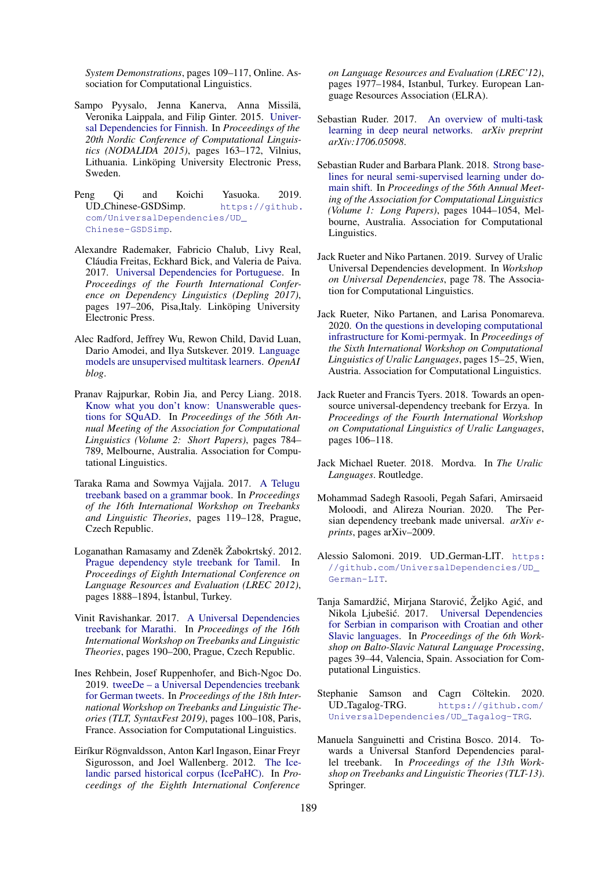*System Demonstrations*, pages 109–117, Online. Association for Computational Linguistics.

- <span id="page-13-7"></span>Sampo Pyysalo, Jenna Kanerva, Anna Missilä, Veronika Laippala, and Filip Ginter. 2015. [Univer](https://www.aclweb.org/anthology/W15-1821)[sal Dependencies for Finnish.](https://www.aclweb.org/anthology/W15-1821) In *Proceedings of the 20th Nordic Conference of Computational Linguistics (NODALIDA 2015)*, pages 163–172, Vilnius, Lithuania. Linköping University Electronic Press, Sweden.
- <span id="page-13-19"></span>Peng Qi and Koichi Yasuoka. 2019. UD Chinese-GSDSimp. [https://github.](https://github.com/UniversalDependencies/UD_Chinese-GSDSimp) [com/UniversalDependencies/UD\\_](https://github.com/UniversalDependencies/UD_Chinese-GSDSimp) [Chinese-GSDSimp](https://github.com/UniversalDependencies/UD_Chinese-GSDSimp).
- <span id="page-13-13"></span>Alexandre Rademaker, Fabricio Chalub, Livy Real, Cláudia Freitas, Eckhard Bick, and Valeria de Paiva. 2017. [Universal Dependencies for Portuguese.](https://www.aclweb.org/anthology/W17-6523) In *Proceedings of the Fourth International Conference on Dependency Linguistics (Depling 2017)*, pages 197–206, Pisa,Italy. Linköping University Electronic Press.
- <span id="page-13-1"></span>Alec Radford, Jeffrey Wu, Rewon Child, David Luan, Dario Amodei, and Ilya Sutskever. 2019. [Language](https://cdn.openai.com/better-language-models/language_models_are_unsupervised_multitask_learners.pdf) [models are unsupervised multitask learners.](https://cdn.openai.com/better-language-models/language_models_are_unsupervised_multitask_learners.pdf) *OpenAI blog*.
- <span id="page-13-3"></span>Pranav Rajpurkar, Robin Jia, and Percy Liang. 2018. [Know what you don't know: Unanswerable ques](https://doi.org/10.18653/v1/P18-2124)[tions for SQuAD.](https://doi.org/10.18653/v1/P18-2124) In *Proceedings of the 56th Annual Meeting of the Association for Computational Linguistics (Volume 2: Short Papers)*, pages 784– 789, Melbourne, Australia. Association for Computational Linguistics.
- <span id="page-13-17"></span>Taraka Rama and Sowmya Vajjala. 2017. [A Telugu](https://www.aclweb.org/anthology/W17-7616) [treebank based on a grammar book.](https://www.aclweb.org/anthology/W17-7616) In *Proceedings of the 16th International Workshop on Treebanks and Linguistic Theories*, pages 119–128, Prague, Czech Republic.
- <span id="page-13-16"></span>Loganathan Ramasamy and Zdeněk Žabokrtský. 2012. [Prague dependency style treebank for Tamil.](http://www.lrec-conf.org/proceedings/lrec2012/summaries/456.html) In *Proceedings of Eighth International Conference on Language Resources and Evaluation (LREC 2012)*, pages 1888–1894, İstanbul, Turkey.
- <span id="page-13-11"></span>Vinit Ravishankar. 2017. [A Universal Dependencies](https://www.aclweb.org/anthology/W17-7623) [treebank for Marathi.](https://www.aclweb.org/anthology/W17-7623) In *Proceedings of the 16th International Workshop on Treebanks and Linguistic Theories*, pages 190–200, Prague, Czech Republic.
- <span id="page-13-20"></span>Ines Rehbein, Josef Ruppenhofer, and Bich-Ngoc Do. 2019. [tweeDe – a Universal Dependencies treebank](https://doi.org/10.18653/v1/W19-7811) [for German tweets.](https://doi.org/10.18653/v1/W19-7811) In *Proceedings of the 18th International Workshop on Treebanks and Linguistic Theories (TLT, SyntaxFest 2019)*, pages 100–108, Paris, France. Association for Computational Linguistics.
- <span id="page-13-8"></span>Eiríkur Rögnvaldsson, Anton Karl Ingason, Einar Freyr Sigurosson, and Joel Wallenberg. 2012. [The Ice](http://www.lrec-conf.org/proceedings/lrec2012/pdf/440_Paper.pdf)[landic parsed historical corpus \(IcePaHC\).](http://www.lrec-conf.org/proceedings/lrec2012/pdf/440_Paper.pdf) In *Proceedings of the Eighth International Conference*

*on Language Resources and Evaluation (LREC'12)*, pages 1977–1984, Istanbul, Turkey. European Language Resources Association (ELRA).

- <span id="page-13-2"></span>Sebastian Ruder. 2017. [An overview of multi-task](https://arxiv.org/abs/1706.05098) [learning in deep neural networks.](https://arxiv.org/abs/1706.05098) *arXiv preprint arXiv:1706.05098*.
- <span id="page-13-0"></span>Sebastian Ruder and Barbara Plank. 2018. [Strong base](https://doi.org/10.18653/v1/P18-1096)[lines for neural semi-supervised learning under do](https://doi.org/10.18653/v1/P18-1096)[main shift.](https://doi.org/10.18653/v1/P18-1096) In *Proceedings of the 56th Annual Meeting of the Association for Computational Linguistics (Volume 1: Long Papers)*, pages 1044–1054, Melbourne, Australia. Association for Computational Linguistics.
- <span id="page-13-14"></span>Jack Rueter and Niko Partanen. 2019. Survey of Uralic Universal Dependencies development. In *Workshop on Universal Dependencies*, page 78. The Association for Computational Linguistics.
- <span id="page-13-9"></span>Jack Rueter, Niko Partanen, and Larisa Ponomareva. 2020. [On the questions in developing computational](https://www.aclweb.org/anthology/2020.iwclul-1.3) [infrastructure for Komi-permyak.](https://www.aclweb.org/anthology/2020.iwclul-1.3) In *Proceedings of the Sixth International Workshop on Computational Linguistics of Uralic Languages*, pages 15–25, Wien, Austria. Association for Computational Linguistics.
- <span id="page-13-12"></span>Jack Rueter and Francis Tyers. 2018. Towards an opensource universal-dependency treebank for Erzya. In *Proceedings of the Fourth International Workshop on Computational Linguistics of Uralic Languages*, pages 106–118.
- <span id="page-13-10"></span>Jack Michael Rueter. 2018. Mordva. In *The Uralic Languages*. Routledge.
- <span id="page-13-6"></span>Mohammad Sadegh Rasooli, Pegah Safari, Amirsaeid Moloodi, and Alireza Nourian. 2020. The Persian dependency treebank made universal. *arXiv eprints*, pages arXiv–2009.
- <span id="page-13-4"></span>Alessio Salomoni. 2019. UD\_German-LIT. [https:](https://github.com/UniversalDependencies/UD_German-LIT) [//github.com/UniversalDependencies/UD\\_](https://github.com/UniversalDependencies/UD_German-LIT) [German-LIT](https://github.com/UniversalDependencies/UD_German-LIT).
- <span id="page-13-15"></span>Tanja Samardžić, Mirjana Starović, Željko Agić, and Nikola Ljubešić. 2017. [Universal Dependencies](https://doi.org/10.18653/v1/W17-1407) [for Serbian in comparison with Croatian and other](https://doi.org/10.18653/v1/W17-1407) [Slavic languages.](https://doi.org/10.18653/v1/W17-1407) In *Proceedings of the 6th Workshop on Balto-Slavic Natural Language Processing*, pages 39–44, Valencia, Spain. Association for Computational Linguistics.
- <span id="page-13-18"></span>Stephanie Samson and Cagrı Cöltekin. 2020. UD Tagalog-TRG. [https://github.com/](https://github.com/UniversalDependencies/UD_Tagalog-TRG) [UniversalDependencies/UD\\_Tagalog-TRG](https://github.com/UniversalDependencies/UD_Tagalog-TRG).
- <span id="page-13-5"></span>Manuela Sanguinetti and Cristina Bosco. 2014. Towards a Universal Stanford Dependencies parallel treebank. In *Proceedings of the 13th Workshop on Treebanks and Linguistic Theories (TLT-13)*. Springer.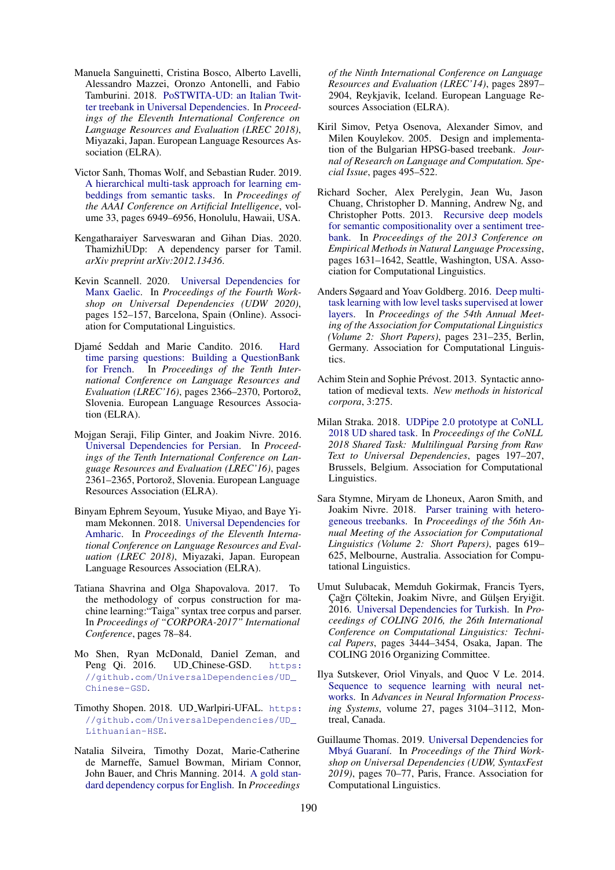- <span id="page-14-14"></span>Manuela Sanguinetti, Cristina Bosco, Alberto Lavelli, Alessandro Mazzei, Oronzo Antonelli, and Fabio Tamburini. 2018. [PoSTWITA-UD: an Italian Twit](https://www.aclweb.org/anthology/L18-1279)[ter treebank in Universal Dependencies.](https://www.aclweb.org/anthology/L18-1279) In *Proceedings of the Eleventh International Conference on Language Resources and Evaluation (LREC 2018)*, Miyazaki, Japan. European Language Resources Association (ELRA).
- <span id="page-14-1"></span>Victor Sanh, Thomas Wolf, and Sebastian Ruder. 2019. [A hierarchical multi-task approach for learning em](https://ojs.aaai.org/index.php/AAAI/article/view/4673)[beddings from semantic tasks.](https://ojs.aaai.org/index.php/AAAI/article/view/4673) In *Proceedings of the AAAI Conference on Artificial Intelligence*, volume 33, pages 6949–6956, Honolulu, Hawaii, USA.
- <span id="page-14-16"></span>Kengatharaiyer Sarveswaran and Gihan Dias. 2020. ThamizhiUDp: A dependency parser for Tamil. *arXiv preprint arXiv:2012.13436*.
- <span id="page-14-13"></span>Kevin Scannell. 2020. [Universal Dependencies for](https://www.aclweb.org/anthology/2020.udw-1.17) [Manx Gaelic.](https://www.aclweb.org/anthology/2020.udw-1.17) In *Proceedings of the Fourth Workshop on Universal Dependencies (UDW 2020)*, pages 152–157, Barcelona, Spain (Online). Association for Computational Linguistics.
- <span id="page-14-10"></span>Djamé Seddah and Marie Candito. 2016. [Hard](https://www.aclweb.org/anthology/L16-1375) [time parsing questions: Building a QuestionBank](https://www.aclweb.org/anthology/L16-1375) [for French.](https://www.aclweb.org/anthology/L16-1375) In *Proceedings of the Tenth International Conference on Language Resources and Evaluation (LREC'16)*, pages 2366–2370, Portorož, Slovenia. European Language Resources Association (ELRA).
- <span id="page-14-9"></span>Mojgan Seraji, Filip Ginter, and Joakim Nivre. 2016. [Universal Dependencies for Persian.](https://www.aclweb.org/anthology/L16-1374) In *Proceedings of the Tenth International Conference on Language Resources and Evaluation (LREC'16)*, pages 2361–2365, Portorož, Slovenia. European Language Resources Association (ELRA).
- <span id="page-14-7"></span>Binyam Ephrem Seyoum, Yusuke Miyao, and Baye Yimam Mekonnen. 2018. [Universal Dependencies for](https://www.aclweb.org/anthology/L18-1350) [Amharic.](https://www.aclweb.org/anthology/L18-1350) In *Proceedings of the Eleventh International Conference on Language Resources and Evaluation (LREC 2018)*, Miyazaki, Japan. European Language Resources Association (ELRA).
- <span id="page-14-15"></span>Tatiana Shavrina and Olga Shapovalova. 2017. To the methodology of corpus construction for machine learning:"Taiga" syntax tree corpus and parser. In *Proceedings of "CORPORA-2017" International Conference*, pages 78–84.
- <span id="page-14-19"></span>Mo Shen, Ryan McDonald, Daniel Zeman, and Peng Qi. 2016. UD\_Chinese-GSD. [https:](https://github.com/UniversalDependencies/UD_Chinese-GSD) [//github.com/UniversalDependencies/UD\\_](https://github.com/UniversalDependencies/UD_Chinese-GSD) [Chinese-GSD](https://github.com/UniversalDependencies/UD_Chinese-GSD).
- <span id="page-14-18"></span>Timothy Shopen. 2018. UD Warlpiri-UFAL. [https:](https://github.com/UniversalDependencies/UD_Lithuanian-HSE) [//github.com/UniversalDependencies/UD\\_](https://github.com/UniversalDependencies/UD_Lithuanian-HSE) [Lithuanian-HSE](https://github.com/UniversalDependencies/UD_Lithuanian-HSE).
- <span id="page-14-6"></span>Natalia Silveira, Timothy Dozat, Marie-Catherine de Marneffe, Samuel Bowman, Miriam Connor, John Bauer, and Chris Manning. 2014. [A gold stan](http://www.lrec-conf.org/proceedings/lrec2014/pdf/1089_Paper.pdf)[dard dependency corpus for English.](http://www.lrec-conf.org/proceedings/lrec2014/pdf/1089_Paper.pdf) In *Proceedings*

*of the Ninth International Conference on Language Resources and Evaluation (LREC'14)*, pages 2897– 2904, Reykjavik, Iceland. European Language Resources Association (ELRA).

- <span id="page-14-8"></span>Kiril Simov, Petya Osenova, Alexander Simov, and Milen Kouylekov. 2005. Design and implementation of the Bulgarian HPSG-based treebank. *Journal of Research on Language and Computation. Special Issue*, pages 495–522.
- <span id="page-14-5"></span>Richard Socher, Alex Perelygin, Jean Wu, Jason Chuang, Christopher D. Manning, Andrew Ng, and Christopher Potts. 2013. [Recursive deep models](https://www.aclweb.org/anthology/D13-1170) [for semantic compositionality over a sentiment tree](https://www.aclweb.org/anthology/D13-1170)[bank.](https://www.aclweb.org/anthology/D13-1170) In *Proceedings of the 2013 Conference on Empirical Methods in Natural Language Processing*, pages 1631–1642, Seattle, Washington, USA. Association for Computational Linguistics.
- <span id="page-14-0"></span>Anders Søgaard and Yoav Goldberg. 2016. [Deep multi](https://doi.org/10.18653/v1/P16-2038)[task learning with low level tasks supervised at lower](https://doi.org/10.18653/v1/P16-2038) [layers.](https://doi.org/10.18653/v1/P16-2038) In *Proceedings of the 54th Annual Meeting of the Association for Computational Linguistics (Volume 2: Short Papers)*, pages 231–235, Berlin, Germany. Association for Computational Linguistics.
- <span id="page-14-11"></span>Achim Stein and Sophie Prévost. 2013. Syntactic annotation of medieval texts. *New methods in historical corpora*, 3:275.
- <span id="page-14-2"></span>Milan Straka. 2018. [UDPipe 2.0 prototype at CoNLL](https://doi.org/10.18653/v1/K18-2020) [2018 UD shared task.](https://doi.org/10.18653/v1/K18-2020) In *Proceedings of the CoNLL 2018 Shared Task: Multilingual Parsing from Raw Text to Universal Dependencies*, pages 197–207, Brussels, Belgium. Association for Computational Linguistics.
- <span id="page-14-4"></span>Sara Stymne, Miryam de Lhoneux, Aaron Smith, and Joakim Nivre. 2018. [Parser training with hetero](https://doi.org/10.18653/v1/P18-2098)[geneous treebanks.](https://doi.org/10.18653/v1/P18-2098) In *Proceedings of the 56th Annual Meeting of the Association for Computational Linguistics (Volume 2: Short Papers)*, pages 619– 625, Melbourne, Australia. Association for Computational Linguistics.
- <span id="page-14-17"></span>Umut Sulubacak, Memduh Gokirmak, Francis Tyers, Çağrı Çöltekin, Joakim Nivre, and Gülşen Eryiğit. 2016. [Universal Dependencies for Turkish.](https://www.aclweb.org/anthology/C16-1325) In *Proceedings of COLING 2016, the 26th International Conference on Computational Linguistics: Technical Papers*, pages 3444–3454, Osaka, Japan. The COLING 2016 Organizing Committee.
- <span id="page-14-3"></span>Ilya Sutskever, Oriol Vinyals, and Quoc V Le. 2014. [Sequence to sequence learning with neural net](https://proceedings.neurips.cc/paper/2014/hash/a14ac55a4f27472c5d894ec1c3c743d2-Abstract.html)[works.](https://proceedings.neurips.cc/paper/2014/hash/a14ac55a4f27472c5d894ec1c3c743d2-Abstract.html) In *Advances in Neural Information Processing Systems*, volume 27, pages 3104–3112, Montreal, Canada.
- <span id="page-14-12"></span>Guillaume Thomas. 2019. [Universal Dependencies for](https://doi.org/10.18653/v1/W19-8008) Mbyá Guaraní. In Proceedings of the Third Work*shop on Universal Dependencies (UDW, SyntaxFest 2019)*, pages 70–77, Paris, France. Association for Computational Linguistics.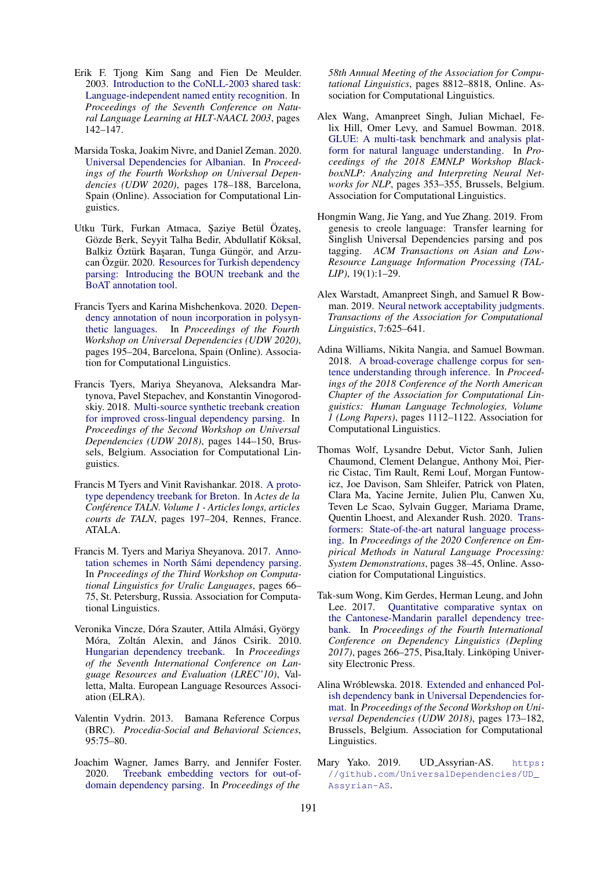- <span id="page-15-1"></span>Erik F. Tjong Kim Sang and Fien De Meulder. 2003. [Introduction to the CoNLL-2003 shared task:](https://www.aclweb.org/anthology/W03-0419) [Language-independent named entity recognition.](https://www.aclweb.org/anthology/W03-0419) In *Proceedings of the Seventh Conference on Natural Language Learning at HLT-NAACL 2003*, pages 142–147.
- <span id="page-15-14"></span>Marsida Toska, Joakim Nivre, and Daniel Zeman. 2020. [Universal Dependencies for Albanian.](https://www.aclweb.org/anthology/2020.udw-1.20) In *Proceedings of the Fourth Workshop on Universal Dependencies (UDW 2020)*, pages 178–188, Barcelona, Spain (Online). Association for Computational Linguistics.
- <span id="page-15-15"></span>Utku Türk, Furkan Atmaca, Şaziye Betül Özateş, Gözde Berk, Seyyit Talha Bedir, Abdullatif Köksal, Balkiz Oztürk Başaran, Tunga Güngör, and Arzu-can Ozgür. 2020. [Resources for Turkish dependency](http://arxiv.org/abs/2002.10416) [parsing: Introducing the BOUN treebank and the](http://arxiv.org/abs/2002.10416) [BoAT annotation tool.](http://arxiv.org/abs/2002.10416)
- <span id="page-15-9"></span>Francis Tyers and Karina Mishchenkova. 2020. [Depen](https://www.aclweb.org/anthology/2020.udw-1.22)[dency annotation of noun incorporation in polysyn](https://www.aclweb.org/anthology/2020.udw-1.22)[thetic languages.](https://www.aclweb.org/anthology/2020.udw-1.22) In *Proceedings of the Fourth Workshop on Universal Dependencies (UDW 2020)*, pages 195–204, Barcelona, Spain (Online). Association for Computational Linguistics.
- <span id="page-15-10"></span>Francis Tyers, Mariya Sheyanova, Aleksandra Martynova, Pavel Stepachev, and Konstantin Vinogorodskiy. 2018. [Multi-source synthetic treebank creation](https://doi.org/10.18653/v1/W18-6017) [for improved cross-lingual dependency parsing.](https://doi.org/10.18653/v1/W18-6017) In *Proceedings of the Second Workshop on Universal Dependencies (UDW 2018)*, pages 144–150, Brussels, Belgium. Association for Computational Linguistics.
- <span id="page-15-8"></span>Francis M Tyers and Vinit Ravishankar. 2018. [A proto](https://www.aclweb.org/anthology/2018.jeptalnrecital-court.1)[type dependency treebank for Breton.](https://www.aclweb.org/anthology/2018.jeptalnrecital-court.1) In *Actes de la Conference TALN. Volume 1 - Articles longs, articles ´ courts de TALN*, pages 197–204, Rennes, France. ATALA.
- <span id="page-15-13"></span>Francis M. Tyers and Mariya Sheyanova. 2017. [Anno](https://doi.org/10.18653/v1/W17-0607)tation schemes in North Sámi dependency parsing. In *Proceedings of the Third Workshop on Computational Linguistics for Uralic Languages*, pages 66– 75, St. Petersburg, Russia. Association for Computational Linguistics.
- <span id="page-15-11"></span>Veronika Vincze, Dóra Szauter, Attila Almási, György Móra, Zoltán Alexin, and János Csirik. 2010. [Hungarian dependency treebank.](http://www.lrec-conf.org/proceedings/lrec2010/pdf/465_Paper.pdf) In *Proceedings of the Seventh International Conference on Language Resources and Evaluation (LREC'10)*, Valletta, Malta. European Language Resources Association (ELRA).
- <span id="page-15-7"></span>Valentin Vydrin. 2013. Bamana Reference Corpus (BRC). *Procedia-Social and Behavioral Sciences*, 95:75–80.
- <span id="page-15-2"></span>Joachim Wagner, James Barry, and Jennifer Foster. 2020. [Treebank embedding vectors for out-of](https://doi.org/10.18653/v1/2020.acl-main.778)[domain dependency parsing.](https://doi.org/10.18653/v1/2020.acl-main.778) In *Proceedings of the*

*58th Annual Meeting of the Association for Computational Linguistics*, pages 8812–8818, Online. Association for Computational Linguistics.

- <span id="page-15-3"></span>Alex Wang, Amanpreet Singh, Julian Michael, Felix Hill, Omer Levy, and Samuel Bowman. 2018. [GLUE: A multi-task benchmark and analysis plat](https://doi.org/10.18653/v1/W18-5446)[form for natural language understanding.](https://doi.org/10.18653/v1/W18-5446) In *Proceedings of the 2018 EMNLP Workshop BlackboxNLP: Analyzing and Interpreting Neural Networks for NLP*, pages 353–355, Brussels, Belgium. Association for Computational Linguistics.
- <span id="page-15-17"></span>Hongmin Wang, Jie Yang, and Yue Zhang. 2019. From genesis to creole language: Transfer learning for Singlish Universal Dependencies parsing and pos tagging. *ACM Transactions on Asian and Low-Resource Language Information Processing (TAL-LIP)*, 19(1):1–29.
- <span id="page-15-4"></span>Alex Warstadt, Amanpreet Singh, and Samuel R Bowman. 2019. [Neural network acceptability judgments.](https://www.aclweb.org/anthology/Q19-1040/) *Transactions of the Association for Computational Linguistics*, 7:625–641.
- <span id="page-15-5"></span>Adina Williams, Nikita Nangia, and Samuel Bowman. 2018. [A broad-coverage challenge corpus for sen](http://aclweb.org/anthology/N18-1101)[tence understanding through inference.](http://aclweb.org/anthology/N18-1101) In *Proceedings of the 2018 Conference of the North American Chapter of the Association for Computational Linguistics: Human Language Technologies, Volume 1 (Long Papers)*, pages 1112–1122. Association for Computational Linguistics.
- <span id="page-15-0"></span>Thomas Wolf, Lysandre Debut, Victor Sanh, Julien Chaumond, Clement Delangue, Anthony Moi, Pierric Cistac, Tim Rault, Remi Louf, Morgan Funtowicz, Joe Davison, Sam Shleifer, Patrick von Platen, Clara Ma, Yacine Jernite, Julien Plu, Canwen Xu, Teven Le Scao, Sylvain Gugger, Mariama Drame, Quentin Lhoest, and Alexander Rush. 2020. [Trans](https://doi.org/10.18653/v1/2020.emnlp-demos.6)[formers: State-of-the-art natural language process](https://doi.org/10.18653/v1/2020.emnlp-demos.6)[ing.](https://doi.org/10.18653/v1/2020.emnlp-demos.6) In *Proceedings of the 2020 Conference on Empirical Methods in Natural Language Processing: System Demonstrations*, pages 38–45, Online. Association for Computational Linguistics.
- <span id="page-15-16"></span>Tak-sum Wong, Kim Gerdes, Herman Leung, and John Lee. 2017. [Quantitative comparative syntax on](https://www.aclweb.org/anthology/W17-6530) [the Cantonese-Mandarin parallel dependency tree](https://www.aclweb.org/anthology/W17-6530)[bank.](https://www.aclweb.org/anthology/W17-6530) In *Proceedings of the Fourth International Conference on Dependency Linguistics (Depling* 2017), pages 266–275, Pisa,Italy. Linköping University Electronic Press.
- <span id="page-15-12"></span>Alina Wróblewska. 2018. [Extended and enhanced Pol](https://doi.org/10.18653/v1/W18-6020)[ish dependency bank in Universal Dependencies for](https://doi.org/10.18653/v1/W18-6020)[mat.](https://doi.org/10.18653/v1/W18-6020) In *Proceedings of the Second Workshop on Universal Dependencies (UDW 2018)*, pages 173–182, Brussels, Belgium. Association for Computational Linguistics.
- <span id="page-15-6"></span>Mary Yako. 2019. UD\_Assyrian-AS. [https:](https://github.com/UniversalDependencies/UD_Assyrian-AS) [//github.com/UniversalDependencies/UD\\_](https://github.com/UniversalDependencies/UD_Assyrian-AS) [Assyrian-AS](https://github.com/UniversalDependencies/UD_Assyrian-AS).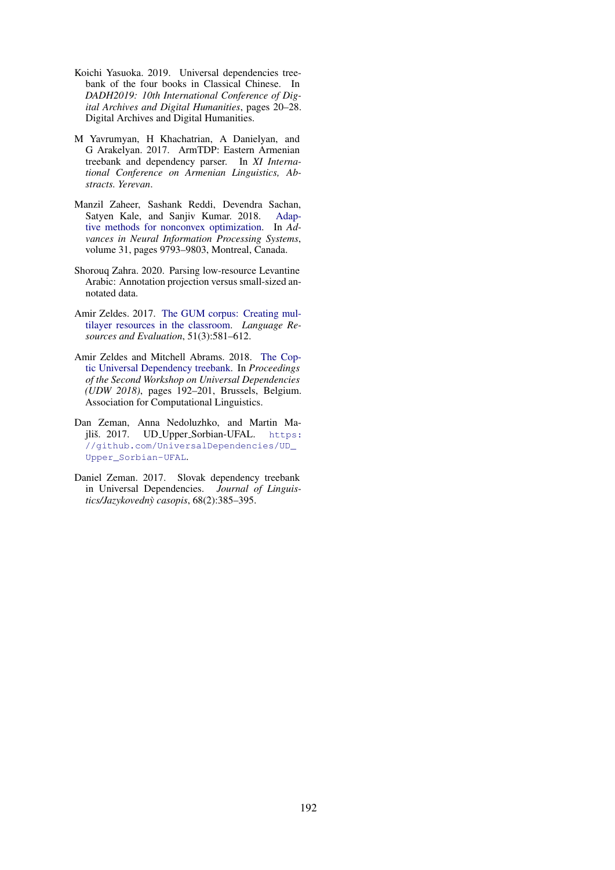- <span id="page-16-6"></span>Koichi Yasuoka. 2019. Universal dependencies treebank of the four books in Classical Chinese. In *DADH2019: 10th International Conference of Digital Archives and Digital Humanities*, pages 20–28. Digital Archives and Digital Humanities.
- <span id="page-16-5"></span>M Yavrumyan, H Khachatrian, A Danielyan, and G Arakelyan. 2017. ArmTDP: Eastern Armenian treebank and dependency parser. In *XI International Conference on Armenian Linguistics, Abstracts. Yerevan*.
- <span id="page-16-0"></span>Manzil Zaheer, Sashank Reddi, Devendra Sachan, Satyen Kale, and Sanjiv Kumar. 2018. [Adap](https://papers.nips.cc/paper/2018/hash/90365351ccc7437a1309dc64e4db32a3-Abstract.html)[tive methods for nonconvex optimization.](https://papers.nips.cc/paper/2018/hash/90365351ccc7437a1309dc64e4db32a3-Abstract.html) In *Advances in Neural Information Processing Systems*, volume 31, pages 9793–9803, Montreal, Canada.
- <span id="page-16-1"></span>Shorouq Zahra. 2020. Parsing low-resource Levantine Arabic: Annotation projection versus small-sized annotated data.
- <span id="page-16-3"></span>Amir Zeldes. 2017. [The GUM corpus: Creating mul](https://doi.org/http://dx.doi.org/10.1007/s10579-016-9343-x)[tilayer resources in the classroom.](https://doi.org/http://dx.doi.org/10.1007/s10579-016-9343-x) *Language Resources and Evaluation*, 51(3):581–612.
- <span id="page-16-2"></span>Amir Zeldes and Mitchell Abrams. 2018. [The Cop](https://doi.org/10.18653/v1/W18-6022)[tic Universal Dependency treebank.](https://doi.org/10.18653/v1/W18-6022) In *Proceedings of the Second Workshop on Universal Dependencies (UDW 2018)*, pages 192–201, Brussels, Belgium. Association for Computational Linguistics.
- <span id="page-16-4"></span>Dan Zeman, Anna Nedoluzhko, and Martin Majliš. 2017. UD\_Upper\_Sorbian-UFAL. [https:](https://github.com/UniversalDependencies/UD_Upper_Sorbian-UFAL) [//github.com/UniversalDependencies/UD\\_](https://github.com/UniversalDependencies/UD_Upper_Sorbian-UFAL) [Upper\\_Sorbian-UFAL](https://github.com/UniversalDependencies/UD_Upper_Sorbian-UFAL).
- <span id="page-16-7"></span>Daniel Zeman. 2017. Slovak dependency treebank in Universal Dependencies. *Journal of Linguistics/Jazykovedny casopis `* , 68(2):385–395.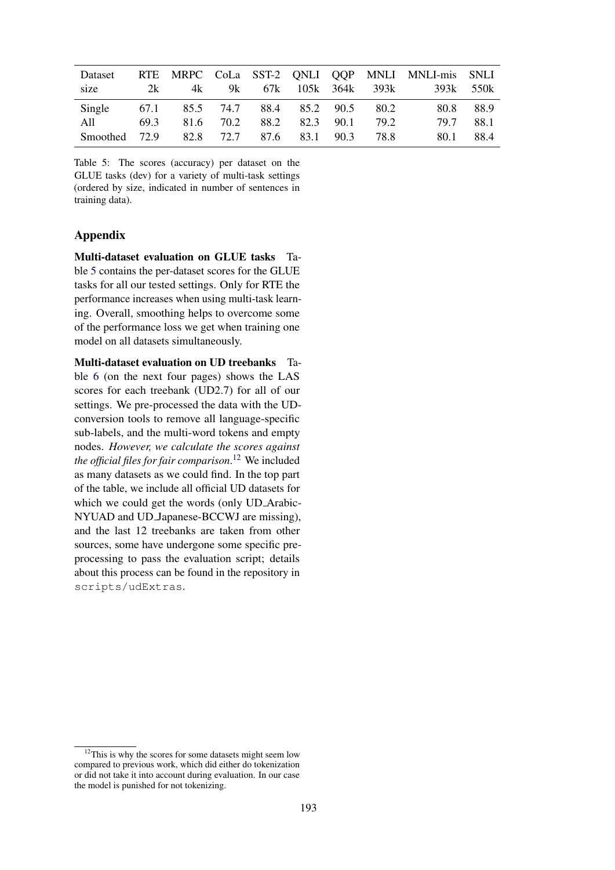<span id="page-17-0"></span>

| Dataset       |      |      |      |                          |               |                    | RTE MRPC CoLa SST-2 ONLI OOP MNLI MNLI-mis SNLI |       |
|---------------|------|------|------|--------------------------|---------------|--------------------|-------------------------------------------------|-------|
| size          | 2k   | 4k   | 9k   |                          |               | 67k 105k 364k 393k | 393k                                            | .550k |
| Single        | 67.1 |      |      | 85.5 74.7 88.4 85.2 90.5 |               | 80.2               | 80.8                                            | 88.9  |
| All —         | 69.3 | 81.6 | 70.2 | 88.2                     | $82.3$ $90.1$ | 79.2               | 79.7                                            | 88.1  |
| Smoothed 72.9 |      |      |      | 82.8 72.7 87.6           | 83.1 90.3     | 78.8               | 80.1                                            | 88.4  |

Table 5: The scores (accuracy) per dataset on the GLUE tasks (dev) for a variety of multi-task settings (ordered by size, indicated in number of sentences in training data).

## Appendix

Multi-dataset evaluation on GLUE tasks Table [5](#page-17-0) contains the per-dataset scores for the GLUE tasks for all our tested settings. Only for RTE the performance increases when using multi-task learning. Overall, smoothing helps to overcome some of the performance loss we get when training one model on all datasets simultaneously.

Multi-dataset evaluation on UD treebanks Table [6](#page-21-0) (on the next four pages) shows the LAS scores for each treebank (UD2.7) for all of our settings. We pre-processed the data with the UDconversion tools to remove all language-specific sub-labels, and the multi-word tokens and empty nodes. *However, we calculate the scores against the official files for fair comparison*. [12](#page-17-1) We included as many datasets as we could find. In the top part of the table, we include all official UD datasets for which we could get the words (only UD Arabic-NYUAD and UD Japanese-BCCWJ are missing), and the last 12 treebanks are taken from other sources, some have undergone some specific preprocessing to pass the evaluation script; details about this process can be found in the repository in scripts/udExtras.

<span id="page-17-1"></span> $12$ This is why the scores for some datasets might seem low compared to previous work, which did either do tokenization or did not take it into account during evaluation. In our case the model is punished for not tokenizing.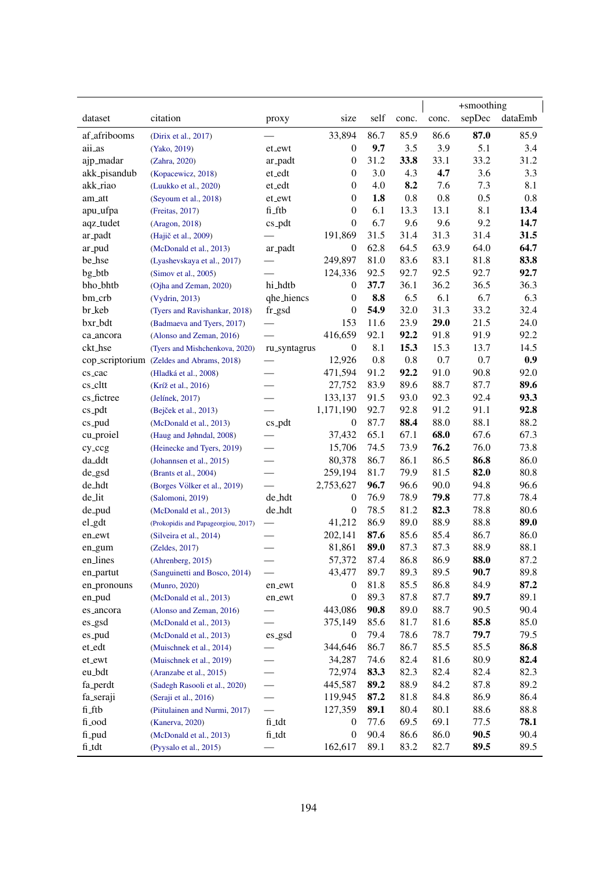|                           |                                           |                          |                  |      |         |       | +smoothing |         |
|---------------------------|-------------------------------------------|--------------------------|------------------|------|---------|-------|------------|---------|
| dataset                   | citation                                  | proxy                    | size             | self | conc.   | conc. | sepDec     | dataEmb |
| af <sub>-</sub> afribooms | (Dirix et al., 2017)                      |                          | 33,894           | 86.7 | 85.9    | 86.6  | 87.0       | 85.9    |
| aii_as                    | (Yako, 2019)                              | et_ewt                   | $\mathbf{0}$     | 9.7  | 3.5     | 3.9   | 5.1        | 3.4     |
| ajp_madar                 | (Zahra, 2020)                             | ar_padt                  | 0                | 31.2 | 33.8    | 33.1  | 33.2       | 31.2    |
| akk_pisandub              | (Kopacewicz, 2018)                        | et_edt                   | $\mathbf{0}$     | 3.0  | 4.3     | 4.7   | 3.6        | 3.3     |
| akk_riao                  | (Luukko et al., 2020)                     | et_edt                   | $\overline{0}$   | 4.0  | 8.2     | 7.6   | 7.3        | 8.1     |
| am_att                    | (Seyoum et al., 2018)                     | et_ewt                   | $\overline{0}$   | 1.8  | $0.8\,$ | 0.8   | 0.5        | 0.8     |
| apu_ufpa                  | (Freitas, 2017)                           | fi_ftb                   | $\overline{0}$   | 6.1  | 13.3    | 13.1  | 8.1        | 13.4    |
| aqz_tudet                 | (Aragon, 2018)                            | $cs$ -pdt                | $\overline{0}$   | 6.7  | 9.6     | 9.6   | 9.2        | 14.7    |
| ar_padt                   | (Hajič et al., 2009)                      |                          | 191,869          | 31.5 | 31.4    | 31.3  | 31.4       | 31.5    |
| ar_pud                    | (McDonald et al., 2013)                   | ar_padt                  | 0                | 62.8 | 64.5    | 63.9  | 64.0       | 64.7    |
| be_hse                    | (Lyashevskaya et al., 2017)               |                          | 249,897          | 81.0 | 83.6    | 83.1  | 81.8       | 83.8    |
| bg_btb                    | (Simov et al., 2005)                      |                          | 124,336          | 92.5 | 92.7    | 92.5  | 92.7       | 92.7    |
| bho_bhtb                  | (Ojha and Zeman, 2020)                    | hi_hdtb                  | $\mathbf{0}$     | 37.7 | 36.1    | 36.2  | 36.5       | 36.3    |
| bm_crb                    | (Vydrin, 2013)                            | qhe_hiencs               | 0                | 8.8  | 6.5     | 6.1   | 6.7        | 6.3     |
| br_keb                    | (Tyers and Ravishankar, 2018)             | fr_gsd                   | 0                | 54.9 | 32.0    | 31.3  | 33.2       | 32.4    |
| bxr_bdt                   | (Badmaeva and Tyers, 2017)                |                          | 153              | 11.6 | 23.9    | 29.0  | 21.5       | 24.0    |
| ca_ancora                 | (Alonso and Zeman, 2016)                  |                          | 416,659          | 92.1 | 92.2    | 91.8  | 91.9       | 92.2    |
| ckt_hse                   | (Tyers and Mishchenkova, 2020)            | ru_syntagrus             | $\boldsymbol{0}$ | 8.1  | 15.3    | 15.3  | 13.7       | 14.5    |
|                           | cop_scriptorium (Zeldes and Abrams, 2018) |                          | 12,926           | 0.8  | $0.8\,$ | 0.7   | 0.7        | 0.9     |
| cs_cac                    | (Hladká et al., 2008)                     |                          | 471,594          | 91.2 | 92.2    | 91.0  | 90.8       | 92.0    |
| cs_cltt                   | (Kríž et al., 2016)                       |                          | 27,752           | 83.9 | 89.6    | 88.7  | 87.7       | 89.6    |
| cs_fictree                | (Jelínek, 2017)                           |                          | 133,137          | 91.5 | 93.0    | 92.3  | 92.4       | 93.3    |
| $cs$ -pdt                 | (Bejček et al., 2013)                     |                          | 1,171,190        | 92.7 | 92.8    | 91.2  | 91.1       | 92.8    |
| cs_pud                    | (McDonald et al., 2013)                   | $cs$ -pdt                | 0                | 87.7 | 88.4    | 88.0  | 88.1       | 88.2    |
| cu_proiel                 | (Haug and Jøhndal, 2008)                  |                          | 37,432           | 65.1 | 67.1    | 68.0  | 67.6       | 67.3    |
| cy_ccg                    | (Heinecke and Tyers, 2019)                |                          | 15,706           | 74.5 | 73.9    | 76.2  | 76.0       | 73.8    |
| da_ddt                    | (Johannsen et al., 2015)                  |                          | 80,378           | 86.7 | 86.1    | 86.5  | 86.8       | 86.0    |
| de_gsd                    | (Brants et al., 2004)                     |                          | 259,194          | 81.7 | 79.9    | 81.5  | 82.0       | 80.8    |
| de_hdt                    | (Borges Völker et al., 2019)              |                          | 2,753,627        | 96.7 | 96.6    | 90.0  | 94.8       | 96.6    |
| de_lit                    | (Salomoni, 2019)                          | de_hdt                   | $\boldsymbol{0}$ | 76.9 | 78.9    | 79.8  | 77.8       | 78.4    |
| de_pud                    | (McDonald et al., 2013)                   | de_hdt                   | $\boldsymbol{0}$ | 78.5 | 81.2    | 82.3  | 78.8       | 80.6    |
| el_gdt                    | (Prokopidis and Papageorgiou, 2017)       | $\overline{\phantom{0}}$ | 41,212           | 86.9 | 89.0    | 88.9  | 88.8       | 89.0    |
| en_ewt                    | (Silveira et al., 2014)                   |                          | 202,141          | 87.6 | 85.6    | 85.4  | 86.7       | 86.0    |
| en_gum                    | (Zeldes, 2017)                            |                          | 81,861           | 89.0 | 87.3    | 87.3  | 88.9       | 88.1    |
| en_lines                  | (Ahrenberg, 2015)                         |                          | 57,372           | 87.4 | 86.8    | 86.9  | 88.0       | 87.2    |
| en_partut                 | (Sanguinetti and Bosco, 2014)             |                          | 43,477           | 89.7 | 89.3    | 89.5  | 90.7       | 89.8    |
| en_pronouns               | (Munro, 2020)                             | en_ewt                   | 0                | 81.8 | 85.5    | 86.8  | 84.9       | 87.2    |
| en_pud                    | (McDonald et al., 2013)                   | en_ewt                   | 0                | 89.3 | 87.8    | 87.7  | 89.7       | 89.1    |
| es_ancora                 | (Alonso and Zeman, 2016)                  |                          | 443,086          | 90.8 | 89.0    | 88.7  | 90.5       | 90.4    |
| es_gsd                    | (McDonald et al., 2013)                   |                          | 375,149          | 85.6 | 81.7    | 81.6  | 85.8       | 85.0    |
| es_pud                    | (McDonald et al., 2013)                   | es_gsd                   | $\boldsymbol{0}$ | 79.4 | 78.6    | 78.7  | 79.7       | 79.5    |
| et_edt                    | (Muischnek et al., 2014)                  |                          | 344,646          | 86.7 | 86.7    | 85.5  | 85.5       | 86.8    |
| $et\_ewt$                 | (Muischnek et al., 2019)                  |                          | 34,287           | 74.6 | 82.4    | 81.6  | 80.9       | 82.4    |
| eu_bdt                    | (Aranzabe et al., 2015)                   |                          | 72,974           | 83.3 | 82.3    | 82.4  | 82.4       | 82.3    |
| fa_perdt                  | (Sadegh Rasooli et al., 2020)             |                          | 445,587          | 89.2 | 88.9    | 84.2  | 87.8       | 89.2    |
| fa_seraji                 | (Seraji et al., 2016)                     |                          | 119,945          | 87.2 | 81.8    | 84.8  | 86.9       | 86.4    |
| fi_ftb                    | (Piitulainen and Nurmi, 2017)             |                          | 127,359          | 89.1 | 80.4    | 80.1  | 88.6       | 88.8    |
| fi_ood                    | (Kanerva, 2020)                           | fi_tdt                   | $\boldsymbol{0}$ | 77.6 | 69.5    | 69.1  | 77.5       | 78.1    |
| fi_pud                    | (McDonald et al., 2013)                   | fi_tdt                   | $\boldsymbol{0}$ | 90.4 | 86.6    | 86.0  | 90.5       | 90.4    |
| fi_tdt                    |                                           |                          | 162,617          | 89.1 | 83.2    | 82.7  | 89.5       | 89.5    |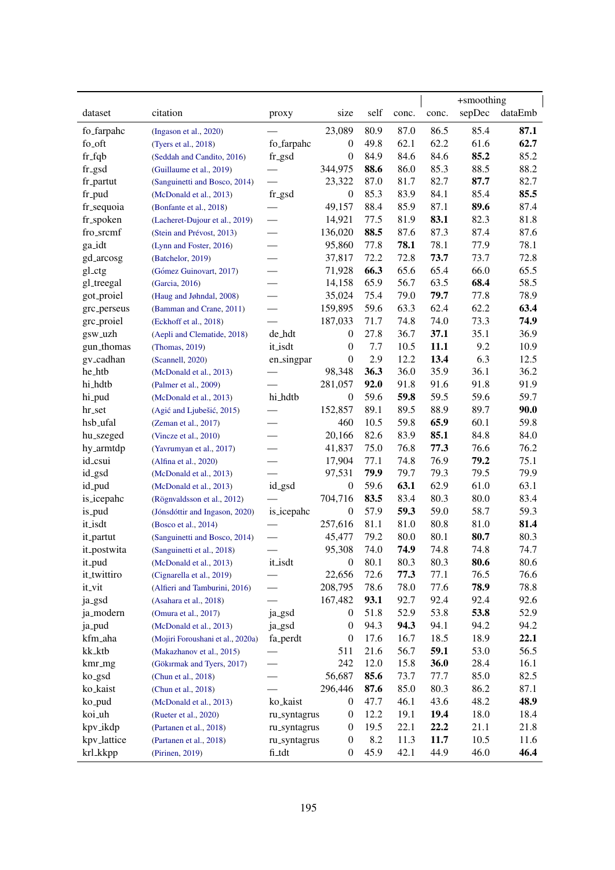|             |                                   |                          |                  |      | +smoothing |       |        |         |
|-------------|-----------------------------------|--------------------------|------------------|------|------------|-------|--------|---------|
| dataset     | citation                          | proxy                    | size             | self | conc.      | conc. | sepDec | dataEmb |
| fo_farpahc  | (Ingason et al., 2020)            |                          | 23,089           | 80.9 | 87.0       | 86.5  | 85.4   | 87.1    |
| fo_oft      | (Tyers et al., 2018)              | fo_farpahc               | $\boldsymbol{0}$ | 49.8 | 62.1       | 62.2  | 61.6   | 62.7    |
| $fr_f$      | (Seddah and Candito, 2016)        | fr_gsd                   | $\boldsymbol{0}$ | 84.9 | 84.6       | 84.6  | 85.2   | 85.2    |
| fr_gsd      | (Guillaume et al., 2019)          |                          | 344,975          | 88.6 | 86.0       | 85.3  | 88.5   | 88.2    |
| fr_partut   | (Sanguinetti and Bosco, 2014)     |                          | 23,322           | 87.0 | 81.7       | 82.7  | 87.7   | 82.7    |
| fr_pud      | (McDonald et al., 2013)           | fr_gsd                   | $\boldsymbol{0}$ | 85.3 | 83.9       | 84.1  | 85.4   | 85.5    |
| fr_sequoia  | (Bonfante et al., 2018)           |                          | 49,157           | 88.4 | 85.9       | 87.1  | 89.6   | 87.4    |
| fr_spoken   | (Lacheret-Dujour et al., 2019)    |                          | 14,921           | 77.5 | 81.9       | 83.1  | 82.3   | 81.8    |
| fro_srcmf   | (Stein and Prévost, 2013)         | $\frac{1}{2}$            | 136,020          | 88.5 | 87.6       | 87.3  | 87.4   | 87.6    |
| ga_idt      | (Lynn and Foster, 2016)           | $\qquad \qquad$          | 95,860           | 77.8 | 78.1       | 78.1  | 77.9   | 78.1    |
| gd_arcosg   | (Batchelor, 2019)                 |                          | 37,817           | 72.2 | 72.8       | 73.7  | 73.7   | 72.8    |
| gl_ctg      | (Gómez Guinovart, 2017)           |                          | 71,928           | 66.3 | 65.6       | 65.4  | 66.0   | 65.5    |
| gl_treegal  | (Garcia, 2016)                    |                          | 14,158           | 65.9 | 56.7       | 63.5  | 68.4   | 58.5    |
| got_proiel  | (Haug and Jøhndal, 2008)          |                          | 35,024           | 75.4 | 79.0       | 79.7  | 77.8   | 78.9    |
| grc_perseus | (Bamman and Crane, 2011)          | $\overline{\phantom{0}}$ | 159,895          | 59.6 | 63.3       | 62.4  | 62.2   | 63.4    |
| grc_proiel  | (Eckhoff et al., 2018)            |                          | 187,033          | 71.7 | 74.8       | 74.0  | 73.3   | 74.9    |
| gsw_uzh     | (Aepli and Clematide, 2018)       | de_hdt                   | 0                | 27.8 | 36.7       | 37.1  | 35.1   | 36.9    |
| gun_thomas  | (Thomas, 2019)                    | it_isdt                  | $\theta$         | 7.7  | 10.5       | 11.1  | 9.2    | 10.9    |
| gv_cadhan   | (Scannell, 2020)                  | en_singpar               | $\theta$         | 2.9  | 12.2       | 13.4  | 6.3    | 12.5    |
| he_htb      | (McDonald et al., 2013)           |                          | 98,348           | 36.3 | 36.0       | 35.9  | 36.1   | 36.2    |
| hi_hdtb     | (Palmer et al., 2009)             |                          | 281,057          | 92.0 | 91.8       | 91.6  | 91.8   | 91.9    |
| hi_pud      | (McDonald et al., 2013)           | hi_hdtb                  | $\boldsymbol{0}$ | 59.6 | 59.8       | 59.5  | 59.6   | 59.7    |
| hr_set      | (Agić and Ljubešić, 2015)         |                          | 152,857          | 89.1 | 89.5       | 88.9  | 89.7   | 90.0    |
| hsb_ufal    | (Zeman et al., 2017)              |                          | 460              | 10.5 | 59.8       | 65.9  | 60.1   | 59.8    |
| hu_szeged   | (Vincze et al., 2010)             | $\overline{\phantom{0}}$ | 20,166           | 82.6 | 83.9       | 85.1  | 84.8   | 84.0    |
| hy_armtdp   | (Yavrumyan et al., 2017)          | $\overline{\phantom{0}}$ | 41,837           | 75.0 | 76.8       | 77.3  | 76.6   | 76.2    |
| id_csui     | (Alfina et al., 2020)             |                          | 17,904           | 77.1 | 74.8       | 76.9  | 79.2   | 75.1    |
| id_gsd      | (McDonald et al., 2013)           |                          | 97,531           | 79.9 | 79.7       | 79.3  | 79.5   | 79.9    |
| id_pud      | (McDonald et al., 2013)           | id_gsd                   | $\boldsymbol{0}$ | 59.6 | 63.1       | 62.9  | 61.0   | 63.1    |
| is_icepahc  | (Rögnvaldsson et al., 2012)       |                          | 704,716          | 83.5 | 83.4       | 80.3  | 80.0   | 83.4    |
| is_pud      | (Jónsdóttir and Ingason, 2020)    | is_icepahc               | $\boldsymbol{0}$ | 57.9 | 59.3       | 59.0  | 58.7   | 59.3    |
| it_isdt     | (Bosco et al., 2014)              |                          | 257,616          | 81.1 | 81.0       | 80.8  | 81.0   | 81.4    |
| it_partut   | (Sanguinetti and Bosco, 2014)     |                          | 45,477           | 79.2 | 80.0       | 80.1  | 80.7   | 80.3    |
| it_postwita | (Sanguinetti et al., 2018)        |                          | 95,308           | 74.0 | 74.9       | 74.8  | 74.8   | 74.7    |
| it_pud      | (McDonald et al., 2013)           | it_isdt                  | $\boldsymbol{0}$ | 80.1 | 80.3       | 80.3  | 80.6   | 80.6    |
| it_twittiro | (Cignarella et al., 2019)         |                          | 22,656           | 72.6 | 77.3       | 77.1  | 76.5   | 76.6    |
| it_vit      | (Alfieri and Tamburini, 2016)     |                          | 208,795          | 78.6 | 78.0       | 77.6  | 78.9   | 78.8    |
| ja_gsd      | (Asahara et al., 2018)            |                          | 167,482          | 93.1 | 92.7       | 92.4  | 92.4   | 92.6    |
| ja_modern   | (Omura et al., 2017)              | ja_gsd                   | $\theta$         | 51.8 | 52.9       | 53.8  | 53.8   | 52.9    |
| ja_pud      | (McDonald et al., 2013)           | ja_gsd                   | $\boldsymbol{0}$ | 94.3 | 94.3       | 94.1  | 94.2   | 94.2    |
| kfm_aha     | (Mojiri Foroushani et al., 2020a) | fa_perdt                 | $\boldsymbol{0}$ | 17.6 | 16.7       | 18.5  | 18.9   | 22.1    |
| kk_ktb      | (Makazhanov et al., 2015)         |                          | 511              | 21.6 | 56.7       | 59.1  | 53.0   | 56.5    |
| kmr_mg      | (Gökirmak and Tyers, 2017)        | $\overline{\phantom{0}}$ | 242              | 12.0 | 15.8       | 36.0  | 28.4   | 16.1    |
| ko_gsd      | (Chun et al., 2018)               |                          | 56,687           | 85.6 | 73.7       | 77.7  | 85.0   | 82.5    |
| ko_kaist    | (Chun et al., 2018)               |                          | 296,446          | 87.6 | 85.0       | 80.3  | 86.2   | 87.1    |
| ko_pud      | (McDonald et al., 2013)           | ko_kaist                 | $\mathbf{0}$     | 47.7 | 46.1       | 43.6  | 48.2   | 48.9    |
| koi_uh      | (Rueter et al., 2020)             | ru_syntagrus             | $\boldsymbol{0}$ | 12.2 | 19.1       | 19.4  | 18.0   | 18.4    |
| kpv_ikdp    | (Partanen et al., 2018)           | ru_syntagrus             | $\boldsymbol{0}$ | 19.5 | 22.1       | 22.2  | 21.1   | 21.8    |
| kpv_lattice | (Partanen et al., 2018)           | ru_syntagrus             | $\boldsymbol{0}$ | 8.2  | 11.3       | 11.7  | 10.5   | 11.6    |
| krl_kkpp    | (Pirinen, 2019)                   | fi_tdt                   | $\boldsymbol{0}$ | 45.9 | 42.1       | 44.9  | 46.0   | 46.4    |
|             |                                   |                          |                  |      |            |       |        |         |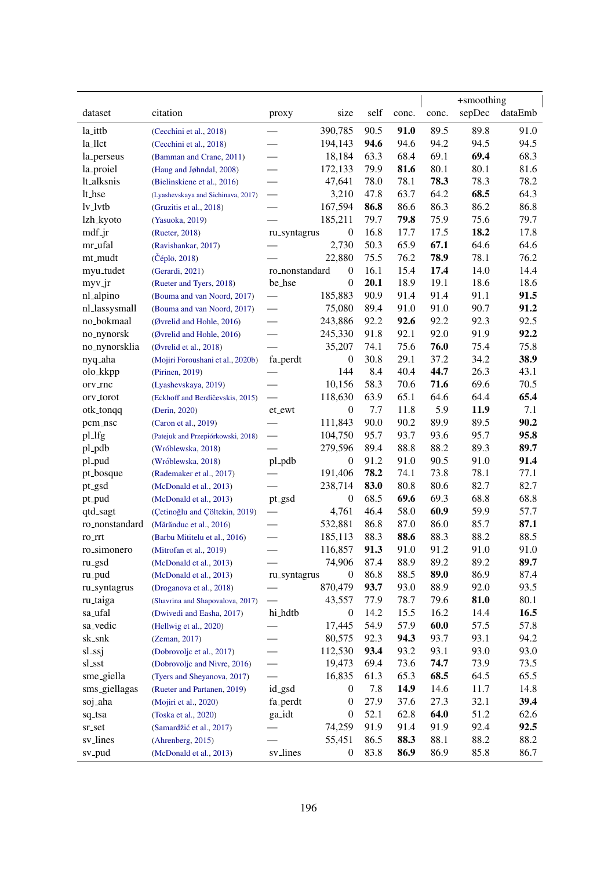|                     |                                    |                                 |                  |      |       |       | +smoothing |         |
|---------------------|------------------------------------|---------------------------------|------------------|------|-------|-------|------------|---------|
| dataset             | citation                           | proxy                           | size             | self | conc. | conc. | sepDec     | dataEmb |
| la_ittb             | (Cecchini et al., 2018)            |                                 | 390,785          | 90.5 | 91.0  | 89.5  | 89.8       | 91.0    |
| la_llct             | (Cecchini et al., 2018)            |                                 | 194,143          | 94.6 | 94.6  | 94.2  | 94.5       | 94.5    |
| la_perseus          | (Bamman and Crane, 2011)           |                                 | 18,184           | 63.3 | 68.4  | 69.1  | 69.4       | 68.3    |
| la_proiel           | (Haug and Jøhndal, 2008)           | $\overline{\phantom{0}}$        | 172,133          | 79.9 | 81.6  | 80.1  | 80.1       | 81.6    |
| lt_alksnis          | (Bielinskiene et al., 2016)        | $\overline{\phantom{0}}$        | 47,641           | 78.0 | 78.1  | 78.3  | 78.3       | 78.2    |
| lt_hse              | (Lyashevskaya and Sichinava, 2017) |                                 | 3,210            | 47.8 | 63.7  | 64.2  | 68.5       | 64.3    |
| $1v_l$              | (Gruzitis et al., 2018)            |                                 | 167,594          | 86.8 | 86.6  | 86.3  | 86.2       | 86.8    |
| lzh_kyoto           | (Yasuoka, 2019)                    |                                 | 185,211          | 79.7 | 79.8  | 75.9  | 75.6       | 79.7    |
| mdf <sub>-</sub> jr | (Rueter, 2018)                     | ru_syntagrus                    | $\boldsymbol{0}$ | 16.8 | 17.7  | 17.5  | 18.2       | 17.8    |
| mr_ufal             | (Ravishankar, 2017)                |                                 | 2,730            | 50.3 | 65.9  | 67.1  | 64.6       | 64.6    |
| mt_mudt             | (Čéplö, 2018)                      |                                 | 22,880           | 75.5 | 76.2  | 78.9  | 78.1       | 76.2    |
| myu_tudet           | (Gerardi, 2021)                    | ro_nonstandard                  | $\boldsymbol{0}$ | 16.1 | 15.4  | 17.4  | 14.0       | 14.4    |
| $myv_jr$            | (Rueter and Tyers, 2018)           | be_hse                          | $\boldsymbol{0}$ | 20.1 | 18.9  | 19.1  | 18.6       | 18.6    |
| nl_alpino           | (Bouma and van Noord, 2017)        |                                 | 185,883          | 90.9 | 91.4  | 91.4  | 91.1       | 91.5    |
| nl_lassysmall       | (Bouma and van Noord, 2017)        | $\overline{\phantom{0}}$        | 75,080           | 89.4 | 91.0  | 91.0  | 90.7       | 91.2    |
| no_bokmaal          | (Øvrelid and Hohle, 2016)          |                                 | 243,886          | 92.2 | 92.6  | 92.2  | 92.3       | 92.5    |
| no_nynorsk          | (Øvrelid and Hohle, 2016)          |                                 | 245,330          | 91.8 | 92.1  | 92.0  | 91.9       | 92.2    |
| no_nynorsklia       | (Øvrelid et al., 2018)             |                                 | 35,207           | 74.1 | 75.6  | 76.0  | 75.4       | 75.8    |
| nyq_aha             | (Mojiri Foroushani et al., 2020b)  | fa_perdt                        | $\boldsymbol{0}$ | 30.8 | 29.1  | 37.2  | 34.2       | 38.9    |
| olo_kkpp            |                                    |                                 | 144              | 8.4  | 40.4  | 44.7  | 26.3       | 43.1    |
|                     | (Pirinen, 2019)                    |                                 | 10,156           | 58.3 | 70.6  | 71.6  | 69.6       | 70.5    |
| orv_rnc             | (Lyashevskaya, 2019)               |                                 |                  |      |       |       |            |         |
| orv_torot           | (Eckhoff and Berdičevskis, 2015)   |                                 | 118,630          | 63.9 | 65.1  | 64.6  | 64.4       | 65.4    |
| otk_tonqq           | (Derin, 2020)                      | et_ewt                          | $\boldsymbol{0}$ | 7.7  | 11.8  | 5.9   | 11.9       | 7.1     |
| pcm_nsc             | (Caron et al., 2019)               |                                 | 111,843          | 90.0 | 90.2  | 89.9  | 89.5       | 90.2    |
| pl_lfg              | (Patejuk and Przepiórkowski, 2018) | $\overbrace{\qquad \qquad }^{}$ | 104,750          | 95.7 | 93.7  | 93.6  | 95.7       | 95.8    |
| pl_pdb              | (Wróblewska, 2018)                 |                                 | 279,596          | 89.4 | 88.8  | 88.2  | 89.3       | 89.7    |
| pl_pud              | (Wróblewska, 2018)                 | pl_pdb                          | $\boldsymbol{0}$ | 91.2 | 91.0  | 90.5  | 91.0       | 91.4    |
| pt_bosque           | (Rademaker et al., 2017)           |                                 | 191,406          | 78.2 | 74.1  | 73.8  | 78.1       | 77.1    |
| pt_gsd              | (McDonald et al., 2013)            |                                 | 238,714          | 83.0 | 80.8  | 80.6  | 82.7       | 82.7    |
| pt_pud              | (McDonald et al., 2013)            | pt_gsd                          | $\boldsymbol{0}$ | 68.5 | 69.6  | 69.3  | 68.8       | 68.8    |
| qtd_sagt            | (Çetinoğlu and Çöltekin, 2019)     |                                 | 4,761            | 46.4 | 58.0  | 60.9  | 59.9       | 57.7    |
| ro_nonstandard      | (Mărănduc et al., 2016)            |                                 | 532,881          | 86.8 | 87.0  | 86.0  | 85.7       | 87.1    |
| ro_rrt              | (Barbu Mititelu et al., 2016)      |                                 | 185,113          | 88.3 | 88.6  | 88.3  | 88.2       | 88.5    |
| ro_simonero         | (Mitrofan et al., 2019)            |                                 | 116,857          | 91.3 | 91.0  | 91.2  | 91.0       | 91.0    |
| ru_gsd              | (McDonald et al., 2013)            |                                 | 74,906           | 87.4 | 88.9  | 89.2  | 89.2       | 89.7    |
| ru_pud              | (McDonald et al., 2013)            | ru_syntagrus                    | $\boldsymbol{0}$ | 86.8 | 88.5  | 89.0  | 86.9       | 87.4    |
| ru_syntagrus        | (Droganova et al., 2018)           |                                 | 870,479          | 93.7 | 93.0  | 88.9  | 92.0       | 93.5    |
| ru_taiga            | (Shavrina and Shapovalova, 2017)   |                                 | 43,557           | 77.9 | 78.7  | 79.6  | 81.0       | 80.1    |
| sa_ufal             | (Dwivedi and Easha, 2017)          | hi_hdtb                         | $\boldsymbol{0}$ | 14.2 | 15.5  | 16.2  | 14.4       | 16.5    |
| sa_vedic            | (Hellwig et al., 2020)             |                                 | 17,445           | 54.9 | 57.9  | 60.0  | 57.5       | 57.8    |
| sk_snk              | (Zeman, 2017)                      |                                 | 80,575           | 92.3 | 94.3  | 93.7  | 93.1       | 94.2    |
| sl_ssj              | (Dobrovoljc et al., 2017)          |                                 | 112,530          | 93.4 | 93.2  | 93.1  | 93.0       | 93.0    |
| sl_sst              | (Dobrovoljc and Nivre, 2016)       |                                 | 19,473           | 69.4 | 73.6  | 74.7  | 73.9       | 73.5    |
| sme_giella          | (Tyers and Sheyanova, 2017)        |                                 | 16,835           | 61.3 | 65.3  | 68.5  | 64.5       | 65.5    |
| sms_giellagas       | (Rueter and Partanen, 2019)        | id_gsd                          | $\overline{0}$   | 7.8  | 14.9  | 14.6  | 11.7       | 14.8    |
| soj_aha             | (Mojiri et al., 2020)              | fa_perdt                        | $\boldsymbol{0}$ | 27.9 | 37.6  | 27.3  | 32.1       | 39.4    |
| sq_tsa              | (Toska et al., 2020)               | ga_idt                          | $\boldsymbol{0}$ | 52.1 | 62.8  | 64.0  | 51.2       | 62.6    |
| sr_set              | (Samardžić et al., 2017)           |                                 | 74,259           | 91.9 | 91.4  | 91.9  | 92.4       | 92.5    |
| sv_lines            | (Ahrenberg, 2015)                  |                                 | 55,451           | 86.5 | 88.3  | 88.1  | 88.2       | 88.2    |
| sv_pud              | (McDonald et al., 2013)            | sv_lines                        | $\boldsymbol{0}$ | 83.8 | 86.9  | 86.9  | 85.8       | 86.7    |